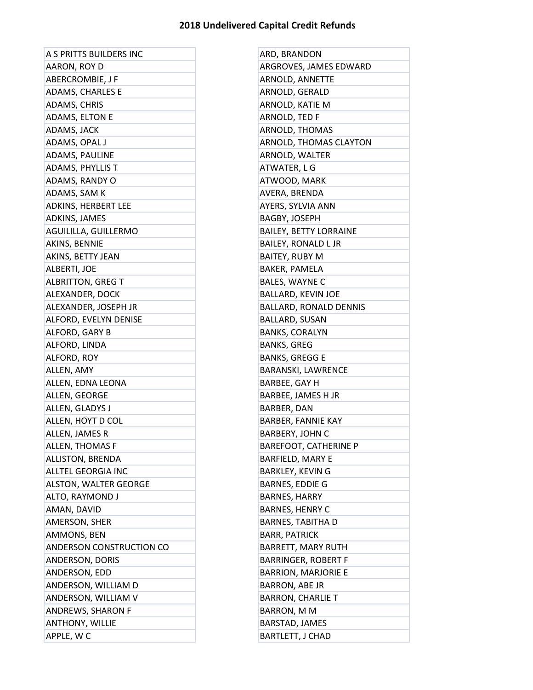| A S PRITTS BUILDERS INC   | ARD, BRANDON                  |
|---------------------------|-------------------------------|
| AARON, ROY D              | ARGROVES, JAMES EDWARD        |
| ABERCROMBIE, J F          | ARNOLD, ANNETTE               |
| ADAMS, CHARLES E          | ARNOLD, GERALD                |
| ADAMS, CHRIS              | ARNOLD, KATIE M               |
| ADAMS, ELTON E            | ARNOLD, TED F                 |
| ADAMS, JACK               | ARNOLD, THOMAS                |
| ADAMS, OPAL J             | ARNOLD, THOMAS CLAYTON        |
| ADAMS, PAULINE            | ARNOLD, WALTER                |
| <b>ADAMS, PHYLLIS T</b>   | ATWATER, L G                  |
| ADAMS, RANDY O            | ATWOOD, MARK                  |
| ADAMS, SAM K              | AVERA, BRENDA                 |
| ADKINS, HERBERT LEE       | AYERS, SYLVIA ANN             |
| ADKINS, JAMES             | <b>BAGBY, JOSEPH</b>          |
| AGUILILLA, GUILLERMO      | <b>BAILEY, BETTY LORRAINE</b> |
| AKINS, BENNIE             | <b>BAILEY, RONALD L JR</b>    |
| AKINS, BETTY JEAN         | <b>BAITEY, RUBY M</b>         |
| ALBERTI, JOE              | BAKER, PAMELA                 |
| <b>ALBRITTON, GREG T</b>  | <b>BALES, WAYNE C</b>         |
| ALEXANDER, DOCK           | <b>BALLARD, KEVIN JOE</b>     |
| ALEXANDER, JOSEPH JR      | <b>BALLARD, RONALD DENNIS</b> |
| ALFORD, EVELYN DENISE     | BALLARD, SUSAN                |
| ALFORD, GARY B            | <b>BANKS, CORALYN</b>         |
| ALFORD, LINDA             | <b>BANKS, GREG</b>            |
| ALFORD, ROY               | <b>BANKS, GREGG E</b>         |
| ALLEN, AMY                | BARANSKI, LAWRENCE            |
| ALLEN, EDNA LEONA         | BARBEE, GAY H                 |
| ALLEN, GEORGE             | BARBEE, JAMES H JR            |
| ALLEN, GLADYS J           | BARBER, DAN                   |
| ALLEN, HOYT D COL         | <b>BARBER, FANNIE KAY</b>     |
| ALLEN, JAMES R            | <b>BARBERY, JOHN C</b>        |
| <b>ALLEN, THOMAS F</b>    | <b>BAREFOOT, CATHERINE P</b>  |
| <b>ALLISTON, BRENDA</b>   | <b>BARFIELD, MARY E</b>       |
| <b>ALLTEL GEORGIA INC</b> | <b>BARKLEY, KEVING</b>        |
| ALSTON, WALTER GEORGE     | BARNES, EDDIE G               |
| ALTO, RAYMOND J           | <b>BARNES, HARRY</b>          |
| AMAN, DAVID               | <b>BARNES, HENRY C</b>        |
| AMERSON, SHER             | <b>BARNES, TABITHA D</b>      |
| AMMONS, BEN               | <b>BARR, PATRICK</b>          |
| ANDERSON CONSTRUCTION CO  | BARRETT, MARY RUTH            |
| ANDERSON, DORIS           | <b>BARRINGER, ROBERT F</b>    |
| ANDERSON, EDD             | <b>BARRION, MARJORIE E</b>    |
| ANDERSON, WILLIAM D       | <b>BARRON, ABE JR</b>         |
| ANDERSON, WILLIAM V       | <b>BARRON, CHARLIE T</b>      |
| ANDREWS, SHARON F         | <b>BARRON, M M</b>            |
| <b>ANTHONY, WILLIE</b>    | BARSTAD, JAMES                |
| APPLE, WC                 | BARTLETT, J CHAD              |

| ARD, BRANDON                  |
|-------------------------------|
| ARGROVES, JAMES EDWARD        |
| ARNOLD, ANNETTE               |
| ARNOLD, GERALD                |
| ARNOLD, KATIE M               |
| ARNOLD, TED F                 |
| ARNOLD, THOMAS                |
| ARNOLD, THOMAS CLAYTON        |
| ARNOLD, WALTER                |
| ATWATER, L G                  |
| ATWOOD, MARK                  |
| AVERA, BRENDA                 |
| AYERS, SYLVIA ANN             |
| <b>BAGBY, JOSEPH</b>          |
| <b>BAILEY, BETTY LORRAINE</b> |
| <b>BAILEY, RONALD L JR</b>    |
| <b>BAITEY, RUBY M</b>         |
| BAKER, PAMELA                 |
| <b>BALES, WAYNE C</b>         |
| <b>BALLARD, KEVIN JOE</b>     |
| <b>BALLARD, RONALD DENNIS</b> |
| BALLARD, SUSAN                |
| <b>BANKS, CORALYN</b>         |
| <b>BANKS, GREG</b>            |
| <b>BANKS, GREGG E</b>         |
| <b>BARANSKI, LAWRENCE</b>     |
| BARBEE, GAY H                 |
| BARBEE, JAMES H JR            |
| BARBER, DAN                   |
| BARBER, FANNIE KAY            |
| <b>BARBERY, JOHN C</b>        |
| BAREFOOT, CATHERINE P         |
| BARFIELD, MARY E              |
| BARKLEY, KEVIN G              |
| <b>BARNES, EDDIE G</b>        |
| <b>BARNES, HARRY</b>          |
| <b>BARNES, HENRY C</b>        |
| <b>BARNES, TABITHA D</b>      |
| <b>BARR, PATRICK</b>          |
| BARRETT, MARY RUTH            |
| BARRINGER, ROBERT F           |
| BARRION, MARJORIE E           |
| <b>BARRON, ABE JR</b>         |
| <b>BARRON, CHARLIE T</b>      |
| BARRON, M M                   |
| BARSTAD, JAMES                |
| BARTLETT, J CHAD              |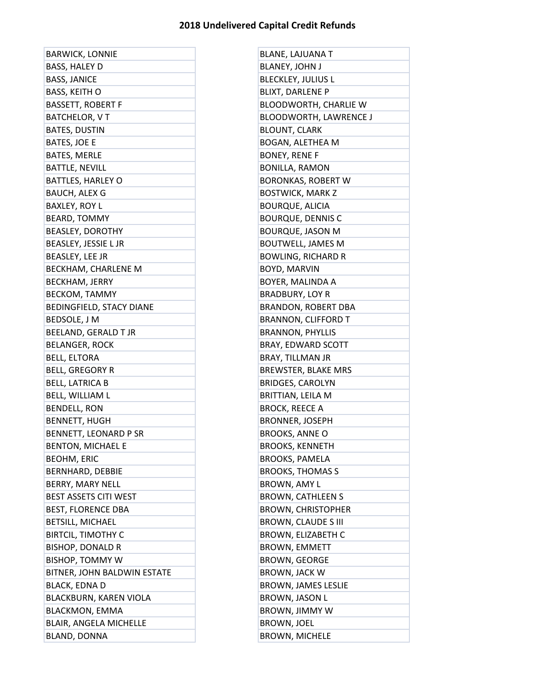÷.

| <b>BARWICK, LONNIE</b>          | <b>BLANE, LAJUANA T</b>       |
|---------------------------------|-------------------------------|
| <b>BASS, HALEY D</b>            | <b>BLANEY, JOHN J</b>         |
| <b>BASS, JANICE</b>             | <b>BLECKLEY, JULIUS L</b>     |
| <b>BASS, KEITH O</b>            | <b>BLIXT, DARLENE P</b>       |
| <b>BASSETT, ROBERT F</b>        | BLOODWORTH, CHARLIE W         |
| <b>BATCHELOR, VT</b>            | <b>BLOODWORTH, LAWRENCE J</b> |
| <b>BATES, DUSTIN</b>            | <b>BLOUNT, CLARK</b>          |
| BATES, JOE E                    | BOGAN, ALETHEA M              |
| <b>BATES, MERLE</b>             | <b>BONEY, RENE F</b>          |
| <b>BATTLE, NEVILL</b>           | <b>BONILLA, RAMON</b>         |
| <b>BATTLES, HARLEY O</b>        | <b>BORONKAS, ROBERT W</b>     |
| <b>BAUCH, ALEX G</b>            | <b>BOSTWICK, MARK Z</b>       |
| <b>BAXLEY, ROY L</b>            | <b>BOURQUE, ALICIA</b>        |
| <b>BEARD, TOMMY</b>             | <b>BOURQUE, DENNIS C</b>      |
| <b>BEASLEY, DOROTHY</b>         | <b>BOURQUE, JASON M</b>       |
| BEASLEY, JESSIE L JR            | <b>BOUTWELL, JAMES M</b>      |
| BEASLEY, LEE JR                 | <b>BOWLING, RICHARD R</b>     |
| BECKHAM, CHARLENE M             | <b>BOYD, MARVIN</b>           |
| <b>BECKHAM, JERRY</b>           | BOYER, MALINDA A              |
| BECKOM, TAMMY                   | <b>BRADBURY, LOY R</b>        |
| <b>BEDINGFIELD, STACY DIANE</b> | <b>BRANDON, ROBERT DBA</b>    |
| BEDSOLE, J M                    | <b>BRANNON, CLIFFORD T</b>    |
| BEELAND, GERALD T JR            | <b>BRANNON, PHYLLIS</b>       |
| <b>BELANGER, ROCK</b>           | BRAY, EDWARD SCOTT            |
| <b>BELL, ELTORA</b>             | <b>BRAY, TILLMAN JR</b>       |
| <b>BELL, GREGORY R</b>          | BREWSTER, BLAKE MRS           |
| <b>BELL, LATRICA B</b>          | <b>BRIDGES, CAROLYN</b>       |
| <b>BELL, WILLIAM L</b>          | BRITTIAN, LEILA M             |
| <b>BENDELL, RON</b>             | <b>BROCK, REECE A</b>         |
| <b>BENNETT, HUGH</b>            | <b>BRONNER, JOSEPH</b>        |
| BENNETT, LEONARD P SR           | <b>BROOKS, ANNE O</b>         |
| <b>BENTON, MICHAEL E</b>        | <b>BROOKS, KENNETH</b>        |
| <b>BEOHM, ERIC</b>              | <b>BROOKS, PAMELA</b>         |
| <b>BERNHARD, DEBBIE</b>         | <b>BROOKS, THOMAS S</b>       |
| BERRY, MARY NELL                | <b>BROWN, AMY L</b>           |
| <b>BEST ASSETS CITI WEST</b>    | <b>BROWN, CATHLEEN S</b>      |
| <b>BEST, FLORENCE DBA</b>       | <b>BROWN, CHRISTOPHER</b>     |
| <b>BETSILL, MICHAEL</b>         | <b>BROWN, CLAUDE S III</b>    |
| <b>BIRTCIL, TIMOTHY C</b>       | <b>BROWN, ELIZABETH C</b>     |
| <b>BISHOP, DONALD R</b>         | <b>BROWN, EMMETT</b>          |
| <b>BISHOP, TOMMY W</b>          | <b>BROWN, GEORGE</b>          |
| BITNER, JOHN BALDWIN ESTATE     | BROWN, JACK W                 |
| <b>BLACK, EDNA D</b>            | BROWN, JAMES LESLIE           |
| BLACKBURN, KAREN VIOLA          | <b>BROWN, JASON L</b>         |
| <b>BLACKMON, EMMA</b>           | BROWN, JIMMY W                |
| <b>BLAIR, ANGELA MICHELLE</b>   | <b>BROWN, JOEL</b>            |
| <b>BLAND, DONNA</b>             | <b>BROWN, MICHELE</b>         |

| <b>BLANE, LAJUANA T</b>       |
|-------------------------------|
| <b>BLANEY, JOHN J</b>         |
| <b>BLECKLEY, JULIUS L</b>     |
| <b>BLIXT, DARLENE P</b>       |
| BLOODWORTH, CHARLIE W         |
| <b>BLOODWORTH, LAWRENCE J</b> |
| <b>BLOUNT, CLARK</b>          |
| <b>BOGAN, ALETHEA M</b>       |
| <b>BONEY, RENE F</b>          |
| <b>BONILLA, RAMON</b>         |
| <b>BORONKAS, ROBERT W</b>     |
| <b>BOSTWICK, MARK Z</b>       |
| <b>BOURQUE, ALICIA</b>        |
| <b>BOURQUE, DENNIS C</b>      |
| <b>BOURQUE, JASON M</b>       |
| <b>BOUTWELL, JAMES M</b>      |
| <b>BOWLING, RICHARD R</b>     |
| <b>BOYD, MARVIN</b>           |
| BOYER, MALINDA A              |
| <b>BRADBURY, LOY R</b>        |
| <b>BRANDON, ROBERT DBA</b>    |
| <b>BRANNON, CLIFFORD T</b>    |
| <b>BRANNON, PHYLLIS</b>       |
| <b>BRAY, EDWARD SCOTT</b>     |
| BRAY, TILLMAN JR              |
| <b>BREWSTER, BLAKE MRS</b>    |
| <b>BRIDGES, CAROLYN</b>       |
| BRITTIAN, LEILA M             |
| <b>BROCK, REECE A</b>         |
| <b>BRONNER, JOSEPH</b>        |
| <b>BROOKS, ANNE O</b>         |
| <b>BROOKS, KENNETH</b>        |
| <b>BROOKS, PAMELA</b>         |
| <b>BROOKS, THOMAS S</b>       |
| <b>BROWN, AMY L</b>           |
| <b>BROWN, CATHLEEN S</b>      |
| <b>BROWN, CHRISTOPHER</b>     |
| <b>BROWN, CLAUDE S III</b>    |
| <b>BROWN, ELIZABETH C</b>     |
| <b>BROWN, EMMETT</b>          |
| <b>BROWN, GEORGE</b>          |
| BROWN, JACK W                 |
| <b>BROWN, JAMES LESLIE</b>    |
| BROWN, JASON L                |
| BROWN, JIMMY W                |
| <b>BROWN, JOEL</b>            |
| <b>BROWN, MICHELE</b>         |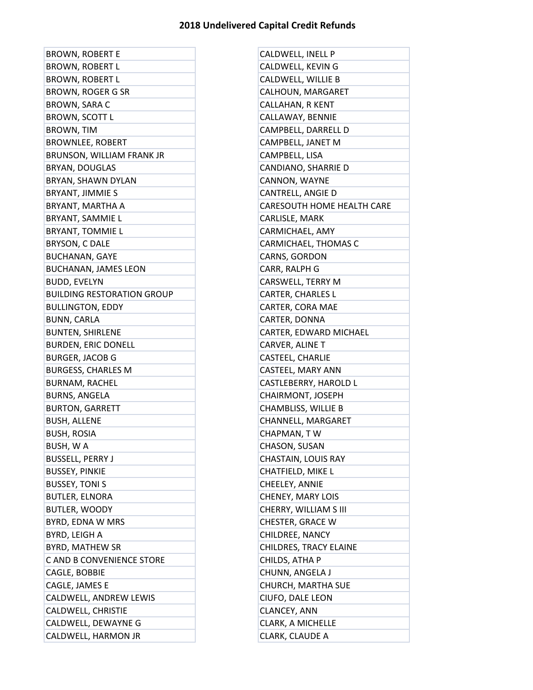| <b>BROWN, ROBERT E</b>            | CALDWELL, INELL P                 |
|-----------------------------------|-----------------------------------|
| <b>BROWN, ROBERT L</b>            | CALDWELL, KEVIN G                 |
| <b>BROWN, ROBERT L</b>            | CALDWELL, WILLIE B                |
| BROWN, ROGER G SR                 | CALHOUN, MARGARET                 |
| BROWN, SARA C                     | <b>CALLAHAN, R KENT</b>           |
| <b>BROWN, SCOTT L</b>             | CALLAWAY, BENNIE                  |
| <b>BROWN, TIM</b>                 | CAMPBELL, DARRELL D               |
| <b>BROWNLEE, ROBERT</b>           | CAMPBELL, JANET M                 |
| BRUNSON, WILLIAM FRANK JR         | CAMPBELL, LISA                    |
| <b>BRYAN, DOUGLAS</b>             | CANDIANO, SHARRIE D               |
| BRYAN, SHAWN DYLAN                | CANNON, WAYNE                     |
| <b>BRYANT, JIMMIE S</b>           | CANTRELL, ANGIE D                 |
| BRYANT, MARTHA A                  | <b>CARESOUTH HOME HEALTH CARE</b> |
| BRYANT, SAMMIE L                  | CARLISLE, MARK                    |
| <b>BRYANT, TOMMIE L</b>           | CARMICHAEL, AMY                   |
| BRYSON, C DALE                    | CARMICHAEL, THOMAS C              |
| <b>BUCHANAN, GAYE</b>             | CARNS, GORDON                     |
| <b>BUCHANAN, JAMES LEON</b>       | CARR, RALPH G                     |
| <b>BUDD, EVELYN</b>               | CARSWELL, TERRY M                 |
| <b>BUILDING RESTORATION GROUP</b> | CARTER, CHARLES L                 |
| <b>BULLINGTON, EDDY</b>           | CARTER, CORA MAE                  |
| <b>BUNN, CARLA</b>                | CARTER, DONNA                     |
| <b>BUNTEN, SHIRLENE</b>           | CARTER, EDWARD MICHAEL            |
| <b>BURDEN, ERIC DONELL</b>        | CARVER, ALINE T                   |
| <b>BURGER, JACOB G</b>            | CASTEEL, CHARLIE                  |
| <b>BURGESS, CHARLES M</b>         | CASTEEL, MARY ANN                 |
| <b>BURNAM, RACHEL</b>             | CASTLEBERRY, HAROLD L             |
| <b>BURNS, ANGELA</b>              | CHAIRMONT, JOSEPH                 |
| <b>BURTON, GARRETT</b>            | <b>CHAMBLISS, WILLIE B</b>        |
| <b>BUSH, ALLENE</b>               | CHANNELL, MARGARET                |
| <b>BUSH, ROSIA</b>                | CHAPMAN, TW                       |
| BUSH, W A                         | CHASON, SUSAN                     |
| <b>BUSSELL, PERRY J</b>           | <b>CHASTAIN, LOUIS RAY</b>        |
| <b>BUSSEY, PINKIE</b>             | CHATFIELD, MIKE L                 |
| <b>BUSSEY, TONI S</b>             | CHEELEY, ANNIE                    |
| <b>BUTLER, ELNORA</b>             | <b>CHENEY, MARY LOIS</b>          |
| <b>BUTLER, WOODY</b>              | CHERRY, WILLIAM S III             |
| BYRD, EDNA W MRS                  | <b>CHESTER, GRACE W</b>           |
| BYRD, LEIGH A                     | CHILDREE, NANCY                   |
| <b>BYRD, MATHEW SR</b>            | <b>CHILDRES, TRACY ELAINE</b>     |
| C AND B CONVENIENCE STORE         | CHILDS, ATHA P                    |
| CAGLE, BOBBIE                     | CHUNN, ANGELA J                   |
| CAGLE, JAMES E                    | CHURCH, MARTHA SUE                |
| CALDWELL, ANDREW LEWIS            | CIUFO, DALE LEON                  |
| CALDWELL, CHRISTIE                | CLANCEY, ANN                      |
| CALDWELL, DEWAYNE G               | CLARK, A MICHELLE                 |
| CALDWELL, HARMON JR               | CLARK, CLAUDE A                   |

| CALDWELL, INELL P                 |
|-----------------------------------|
| CALDWELL, KEVIN G                 |
| CALDWELL, WILLIE B                |
| CALHOUN, MARGARET                 |
| <b>CALLAHAN, R KENT</b>           |
| CALLAWAY, BENNIE                  |
| CAMPBELL, DARRELL D               |
| CAMPBELL, JANET M                 |
| CAMPBELL, LISA                    |
| CANDIANO, SHARRIE D               |
| CANNON, WAYNE                     |
| CANTRELL, ANGIE D                 |
| <b>CARESOUTH HOME HEALTH CARE</b> |
| CARLISLE, MARK                    |
| CARMICHAEL, AMY                   |
| CARMICHAEL, THOMAS C              |
| CARNS, GORDON                     |
| CARR, RALPH G                     |
| CARSWELL, TERRY M                 |
| <b>CARTER, CHARLES L</b>          |
| CARTER, CORA MAE                  |
| CARTER, DONNA                     |
| CARTER, EDWARD MICHAEL            |
| CARVER, ALINE T                   |
| CASTEEL, CHARLIE                  |
| CASTEEL, MARY ANN                 |
| CASTLEBERRY, HAROLD L             |
| CHAIRMONT, JOSEPH                 |
| CHAMBLISS, WILLIE B               |
| CHANNELL, MARGARET                |
| CHAPMAN, TW                       |
| CHASON, SUSAN                     |
| CHASTAIN, LOUIS RAY               |
| CHATFIELD, MIKE L                 |
| CHEELEY, ANNIE                    |
| <b>CHENEY, MARY LOIS</b>          |
| CHERRY, WILLIAM S III             |
| CHESTER, GRACE W                  |
| CHILDREE, NANCY                   |
| CHILDRES, TRACY ELAINE            |
| CHILDS, ATHA P                    |
| CHUNN, ANGELA J                   |
| CHURCH, MARTHA SUE                |
| CIUFO, DALE LEON                  |
| CLANCEY, ANN                      |
| CLARK, A MICHELLE                 |
| CLARK, CLAUDE A                   |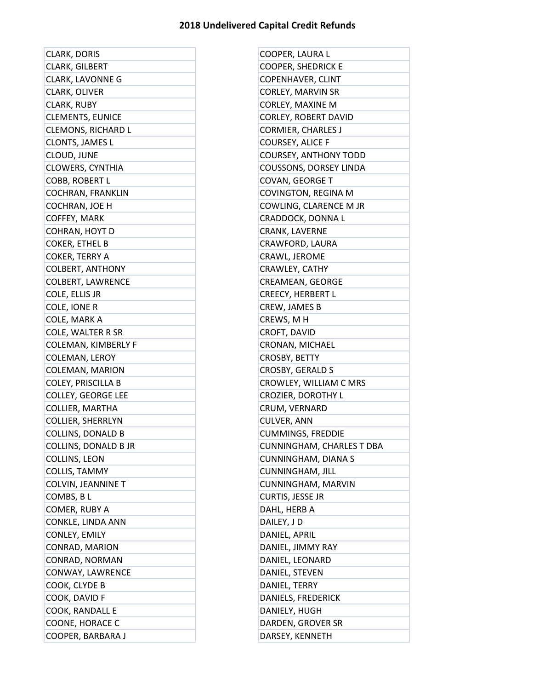| <b>CLARK, DORIS</b>         | COOPER, LAURA L                  |
|-----------------------------|----------------------------------|
| <b>CLARK, GILBERT</b>       | <b>COOPER, SHEDRICK E</b>        |
| <b>CLARK, LAVONNE G</b>     | <b>COPENHAVER, CLINT</b>         |
| CLARK, OLIVER               | <b>CORLEY, MARVIN SR</b>         |
| CLARK, RUBY                 | <b>CORLEY, MAXINE M</b>          |
| <b>CLEMENTS, EUNICE</b>     | <b>CORLEY, ROBERT DAVID</b>      |
| <b>CLEMONS, RICHARD L</b>   | <b>CORMIER, CHARLES J</b>        |
| <b>CLONTS, JAMES L</b>      | <b>COURSEY, ALICE F</b>          |
| CLOUD, JUNE                 | <b>COURSEY, ANTHONY TODD</b>     |
| <b>CLOWERS, CYNTHIA</b>     | <b>COUSSONS, DORSEY LINDA</b>    |
| <b>COBB, ROBERT L</b>       | <b>COVAN, GEORGE T</b>           |
| <b>COCHRAN, FRANKLIN</b>    | COVINGTON, REGINA M              |
| COCHRAN, JOE H              | COWLING, CLARENCE M JR           |
| COFFEY, MARK                | CRADDOCK, DONNA L                |
| <b>COHRAN, HOYT D</b>       | CRANK, LAVERNE                   |
| COKER, ETHEL B              | CRAWFORD, LAURA                  |
| <b>COKER, TERRY A</b>       | CRAWL, JEROME                    |
| <b>COLBERT, ANTHONY</b>     | CRAWLEY, CATHY                   |
| <b>COLBERT, LAWRENCE</b>    | CREAMEAN, GEORGE                 |
| COLE, ELLIS JR              | <b>CREECY, HERBERT L</b>         |
| COLE, IONE R                | CREW, JAMES B                    |
| COLE, MARK A                | CREWS, M H                       |
| COLE, WALTER R SR           | CROFT, DAVID                     |
| <b>COLEMAN, KIMBERLY F</b>  | CRONAN, MICHAEL                  |
| COLEMAN, LEROY              | CROSBY, BETTY                    |
| <b>COLEMAN, MARION</b>      | <b>CROSBY, GERALD S</b>          |
| <b>COLEY, PRISCILLA B</b>   | CROWLEY, WILLIAM C MRS           |
| <b>COLLEY, GEORGE LEE</b>   | <b>CROZIER, DOROTHY L</b>        |
| COLLIER, MARTHA             | CRUM, VERNARD                    |
| <b>COLLIER, SHERRLYN</b>    | <b>CULVER, ANN</b>               |
| <b>COLLINS, DONALD B</b>    | <b>CUMMINGS, FREDDIE</b>         |
| <b>COLLINS, DONALD B JR</b> | <b>CUNNINGHAM, CHARLES T DBA</b> |
| COLLINS, LEON               | <b>CUNNINGHAM, DIANA S</b>       |
| COLLIS, TAMMY               | <b>CUNNINGHAM, JILL</b>          |
| <b>COLVIN, JEANNINE T</b>   | CUNNINGHAM, MARVIN               |
| COMBS, BL                   | <b>CURTIS, JESSE JR</b>          |
| COMER, RUBY A               | DAHL, HERB A                     |
| <b>CONKLE, LINDA ANN</b>    | DAILEY, JD                       |
| CONLEY, EMILY               | DANIEL, APRIL                    |
| CONRAD, MARION              | DANIEL, JIMMY RAY                |
| CONRAD, NORMAN              | DANIEL, LEONARD                  |
| CONWAY, LAWRENCE            | DANIEL, STEVEN                   |
| COOK, CLYDE B               | DANIEL, TERRY                    |
| COOK, DAVID F               | DANIELS, FREDERICK               |
| COOK, RANDALL E             | DANIELY, HUGH                    |
| COONE, HORACE C             | DARDEN, GROVER SR                |
| COOPER, BARBARA J           | DARSEY, KENNETH                  |

| <b>COOPER, LAURA L</b>       |
|------------------------------|
| <b>COOPER, SHEDRICK E</b>    |
| COPENHAVER, CLINT            |
| <b>CORLEY, MARVIN SR</b>     |
| <b>CORLEY, MAXINE M</b>      |
| <b>CORLEY, ROBERT DAVID</b>  |
| <b>CORMIER, CHARLES J</b>    |
| <b>COURSEY, ALICE F</b>      |
| <b>COURSEY, ANTHONY TODD</b> |
| COUSSONS, DORSEY LINDA       |
| <b>COVAN, GEORGE T</b>       |
| COVINGTON, REGINA M          |
| COWLING, CLARENCE M JR       |
| CRADDOCK, DONNA L            |
| CRANK, LAVERNE               |
| CRAWFORD, LAURA              |
| CRAWL, JEROME                |
| CRAWLEY, CATHY               |
| <b>CREAMEAN, GEORGE</b>      |
| <b>CREECY, HERBERT L</b>     |
| CREW, JAMES B                |
| CREWS, M H                   |
| CROFT, DAVID                 |
| CRONAN, MICHAEL              |
| CROSBY, BETTY                |
| <b>CROSBY, GERALD S</b>      |
| CROWLEY, WILLIAM C MRS       |
| <b>CROZIER, DOROTHY L</b>    |
| CRUM, VERNARD                |
| <b>CULVER, ANN</b>           |
| <b>CUMMINGS, FREDDIE</b>     |
| CUNNINGHAM, CHARLES T DBA    |
| <b>CUNNINGHAM, DIANA S</b>   |
| <b>CUNNINGHAM, JILL</b>      |
| CUNNINGHAM, MARVIN           |
| CURTIS, JESSE JR             |
| DAHL, HERB A                 |
| DAILEY, JD                   |
| DANIEL, APRIL                |
| DANIEL, JIMMY RAY            |
| DANIEL, LEONARD              |
| DANIEL, STEVEN               |
| DANIEL, TERRY                |
| DANIELS, FREDERICK           |
| DANIELY, HUGH                |
| DARDEN, GROVER SR            |
| DARSEY, KENNETH              |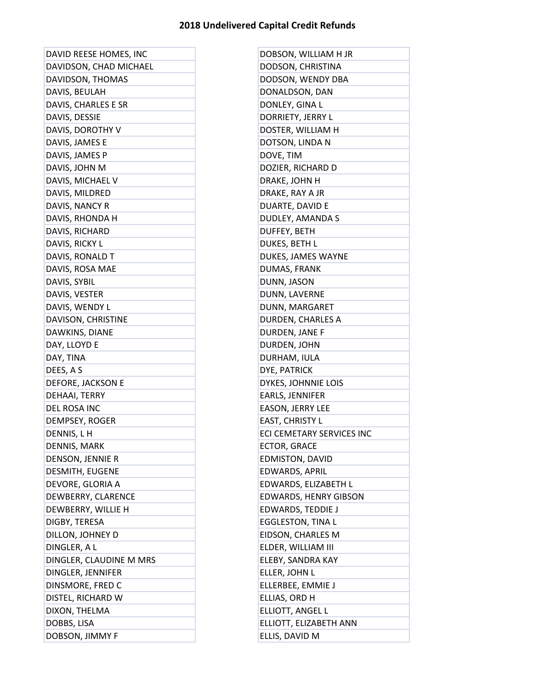| DAVID REESE HOMES, INC  | DOBSON, WILLIAM H JR         |
|-------------------------|------------------------------|
| DAVIDSON, CHAD MICHAEL  | DODSON, CHRISTINA            |
| DAVIDSON, THOMAS        | DODSON, WENDY DBA            |
| DAVIS, BEULAH           | DONALDSON, DAN               |
| DAVIS, CHARLES E SR     | DONLEY, GINA L               |
| DAVIS, DESSIE           | DORRIETY, JERRY L            |
| DAVIS, DOROTHY V        | DOSTER, WILLIAM H            |
| DAVIS, JAMES E          | DOTSON, LINDA N              |
| DAVIS, JAMES P          | DOVE, TIM                    |
| DAVIS, JOHN M           | DOZIER, RICHARD D            |
| DAVIS, MICHAEL V        | DRAKE, JOHN H                |
| DAVIS, MILDRED          | DRAKE, RAY A JR              |
| DAVIS, NANCY R          | DUARTE, DAVID E              |
| DAVIS, RHONDA H         | DUDLEY, AMANDA S             |
| DAVIS, RICHARD          | <b>DUFFEY, BETH</b>          |
| DAVIS, RICKY L          | DUKES, BETH L                |
| DAVIS, RONALD T         | DUKES, JAMES WAYNE           |
| DAVIS, ROSA MAE         | DUMAS, FRANK                 |
| DAVIS, SYBIL            | DUNN, JASON                  |
| DAVIS, VESTER           | DUNN, LAVERNE                |
| DAVIS, WENDY L          | DUNN, MARGARET               |
| DAVISON, CHRISTINE      | DURDEN, CHARLES A            |
| DAWKINS, DIANE          | DURDEN, JANE F               |
| DAY, LLOYD E            | DURDEN, JOHN                 |
| DAY, TINA               | DURHAM, IULA                 |
| DEES, A S               | DYE, PATRICK                 |
| DEFORE, JACKSON E       | DYKES, JOHNNIE LOIS          |
| DEHAAI, TERRY           | <b>EARLS, JENNIFER</b>       |
| DEL ROSA INC            | <b>EASON, JERRY LEE</b>      |
| DEMPSEY, ROGER          | <b>EAST, CHRISTY L</b>       |
| DENNIS, LH              | ECI CEMETARY SERVICES INC    |
| DENNIS, MARK            | <b>ECTOR, GRACE</b>          |
| DENSON, JENNIE R        | <b>EDMISTON, DAVID</b>       |
| <b>DESMITH, EUGENE</b>  | EDWARDS, APRIL               |
| DEVORE, GLORIA A        | EDWARDS, ELIZABETH L         |
| DEWBERRY, CLARENCE      | <b>EDWARDS, HENRY GIBSON</b> |
| DEWBERRY, WILLIE H      | EDWARDS, TEDDIE J            |
| DIGBY, TERESA           | <b>EGGLESTON, TINA L</b>     |
| DILLON, JOHNEY D        | EIDSON, CHARLES M            |
| DINGLER, A L            | ELDER, WILLIAM III           |
| DINGLER, CLAUDINE M MRS | ELEBY, SANDRA KAY            |
| DINGLER, JENNIFER       | ELLER, JOHN L                |
| DINSMORE, FRED C        | ELLERBEE, EMMIE J            |
| DISTEL, RICHARD W       | ELLIAS, ORD H                |
| DIXON, THELMA           | ELLIOTT, ANGEL L             |
| DOBBS, LISA             | ELLIOTT, ELIZABETH ANN       |
| DOBSON, JIMMY F         | ELLIS, DAVID M               |

| DOBSON, WILLIAM H JR         |
|------------------------------|
| DODSON, CHRISTINA            |
| DODSON, WENDY DBA            |
| DONALDSON, DAN               |
| DONLEY, GINA L               |
| DORRIETY, JERRY L            |
| DOSTER, WILLIAM H            |
| DOTSON, LINDA N              |
| DOVE, TIM                    |
| DOZIER, RICHARD D            |
| DRAKE, JOHN H                |
| DRAKE, RAY A JR              |
| DUARTE, DAVID E              |
| DUDLEY, AMANDA S             |
| DUFFEY, BETH                 |
| DUKES, BETH L                |
| DUKES, JAMES WAYNE           |
| DUMAS, FRANK                 |
| DUNN, JASON                  |
| DUNN, LAVERNE                |
| DUNN, MARGARET               |
| DURDEN, CHARLES A            |
| DURDEN, JANE F               |
| DURDEN, JOHN                 |
| DURHAM, IULA                 |
| DYE, PATRICK                 |
| DYKES, JOHNNIE LOIS          |
| EARLS, JENNIFER              |
| <b>EASON, JERRY LEE</b>      |
| <b>EAST, CHRISTY L</b>       |
| ECI CEMETARY SERVICES INC    |
| <b>ECTOR, GRACE</b>          |
| <b>EDMISTON, DAVID</b>       |
| EDWARDS, APRIL               |
| EDWARDS, ELIZABETH L         |
| <b>EDWARDS, HENRY GIBSON</b> |
| EDWARDS, TEDDIE J            |
| <b>EGGLESTON, TINA L</b>     |
| EIDSON, CHARLES M            |
| ELDER, WILLIAM III           |
| ELEBY, SANDRA KAY            |
| ELLER, JOHN L                |
| ELLERBEE, EMMIE J            |
| ELLIAS, ORD H                |
| ELLIOTT, ANGEL L             |
| ELLIOTT, ELIZABETH ANN       |
| ELLIS, DAVID M               |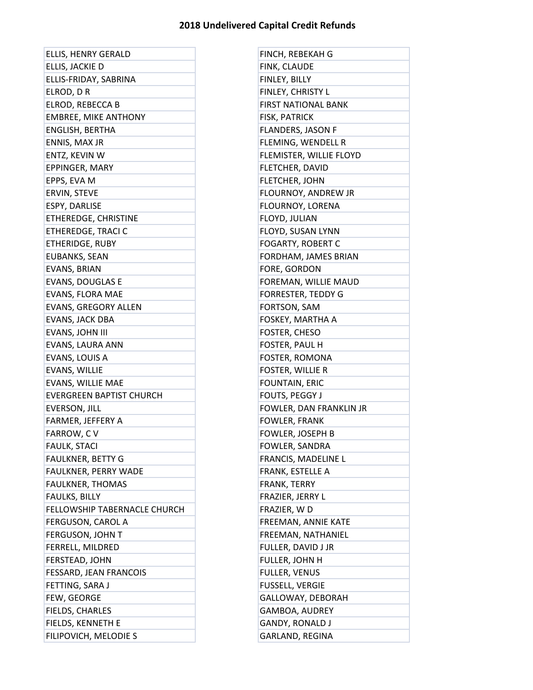| ELLIS, HENRY GERALD             | FINCH, REBEKAH G           |
|---------------------------------|----------------------------|
| ELLIS, JACKIE D                 | FINK, CLAUDE               |
| ELLIS-FRIDAY, SABRINA           | FINLEY, BILLY              |
| ELROD, DR                       | FINLEY, CHRISTY L          |
| ELROD, REBECCA B                | <b>FIRST NATIONAL BANK</b> |
| <b>EMBREE, MIKE ANTHONY</b>     | <b>FISK, PATRICK</b>       |
| ENGLISH, BERTHA                 | <b>FLANDERS, JASON F</b>   |
| ENNIS, MAX JR                   | FLEMING, WENDELL R         |
| ENTZ, KEVIN W                   | FLEMISTER, WILLIE FLOYD    |
| EPPINGER, MARY                  | FLETCHER, DAVID            |
| EPPS, EVA M                     | FLETCHER, JOHN             |
| ERVIN, STEVE                    | FLOURNOY, ANDREW JR        |
| ESPY, DARLISE                   | FLOURNOY, LORENA           |
| ETHEREDGE, CHRISTINE            | FLOYD, JULIAN              |
| <b>ETHEREDGE, TRACI C</b>       | FLOYD, SUSAN LYNN          |
| ETHERIDGE, RUBY                 | <b>FOGARTY, ROBERT C</b>   |
| <b>EUBANKS, SEAN</b>            | FORDHAM, JAMES BRIAN       |
| EVANS, BRIAN                    | FORE, GORDON               |
| <b>EVANS, DOUGLAS E</b>         | FOREMAN, WILLIE MAUD       |
| <b>EVANS, FLORA MAE</b>         | <b>FORRESTER, TEDDY G</b>  |
| <b>EVANS, GREGORY ALLEN</b>     | FORTSON, SAM               |
| EVANS, JACK DBA                 | FOSKEY, MARTHA A           |
| EVANS, JOHN III                 | FOSTER, CHESO              |
| EVANS, LAURA ANN                | FOSTER, PAUL H             |
| EVANS, LOUIS A                  | FOSTER, ROMONA             |
| EVANS, WILLIE                   | FOSTER, WILLIE R           |
| <b>EVANS, WILLIE MAE</b>        | <b>FOUNTAIN, ERIC</b>      |
| <b>EVERGREEN BAPTIST CHURCH</b> | FOUTS, PEGGY J             |
| EVERSON, JILL                   | FOWLER, DAN FRANKLIN JR    |
| FARMER, JEFFERY A               | <b>FOWLER, FRANK</b>       |
| FARROW, CV                      | FOWLER, JOSEPH B           |
| <b>FAULK, STACI</b>             | <b>FOWLER, SANDRA</b>      |
| <b>FAULKNER, BETTY G</b>        | <b>FRANCIS, MADELINE L</b> |
| <b>FAULKNER, PERRY WADE</b>     | FRANK, ESTELLE A           |
| <b>FAULKNER, THOMAS</b>         | FRANK, TERRY               |
| <b>FAULKS, BILLY</b>            | FRAZIER, JERRY L           |
| FELLOWSHIP TABERNACLE CHURCH    | FRAZIER, WD                |
| FERGUSON, CAROL A               | FREEMAN, ANNIE KATE        |
| FERGUSON, JOHN T                | FREEMAN, NATHANIEL         |
| FERRELL, MILDRED                | <b>FULLER, DAVID J JR</b>  |
| FERSTEAD, JOHN                  | FULLER, JOHN H             |
| FESSARD, JEAN FRANCOIS          | <b>FULLER, VENUS</b>       |
| FETTING, SARA J                 | <b>FUSSELL, VERGIE</b>     |
| FEW, GEORGE                     | GALLOWAY, DEBORAH          |
| FIELDS, CHARLES                 | GAMBOA, AUDREY             |
| FIELDS, KENNETH E               | <b>GANDY, RONALD J</b>     |
| FILIPOVICH, MELODIE S           | GARLAND, REGINA            |

| FINCH, REBEKAH G           |
|----------------------------|
| FINK, CLAUDE               |
| FINLEY, BILLY              |
| FINLEY, CHRISTY L          |
| <b>FIRST NATIONAL BANK</b> |
| FISK, PATRICK              |
| FLANDERS, JASON F          |
| FLEMING, WENDELL R         |
| FLEMISTER, WILLIE FLOYD    |
| FLETCHER, DAVID            |
| FLETCHER, JOHN             |
| FLOURNOY, ANDREW JR        |
| FLOURNOY, LORENA           |
| FLOYD, JULIAN              |
| FLOYD, SUSAN LYNN          |
| <b>FOGARTY, ROBERT C</b>   |
| FORDHAM, JAMES BRIAN       |
| FORE, GORDON               |
| FOREMAN, WILLIE MAUD       |
| <b>FORRESTER, TEDDY G</b>  |
| FORTSON, SAM               |
| FOSKEY, MARTHA A           |
| FOSTER, CHESO              |
| FOSTER, PAUL H             |
| FOSTER, ROMONA             |
| <b>FOSTER, WILLIE R</b>    |
| FOUNTAIN, ERIC             |
| FOUTS, PEGGY J             |
| FOWLER, DAN FRANKLIN JR    |
| FOWLER, FRANK              |
| FOWLER, JOSEPH B           |
| <b>FOWLER, SANDRA</b>      |
| FRANCIS, MADELINE L        |
| FRANK, ESTELLE A           |
| FRANK, TERRY               |
| FRAZIER, JERRY L           |
| FRAZIER, W D               |
| FREEMAN, ANNIE KATE        |
| FREEMAN, NATHANIEL         |
| FULLER, DAVID J JR         |
| FULLER, JOHN H             |
| <b>FULLER, VENUS</b>       |
| <b>FUSSELL, VERGIE</b>     |
| GALLOWAY, DEBORAH          |
| GAMBOA, AUDREY             |
| <b>GANDY, RONALD J</b>     |
| GARLAND, REGINA            |
|                            |

÷,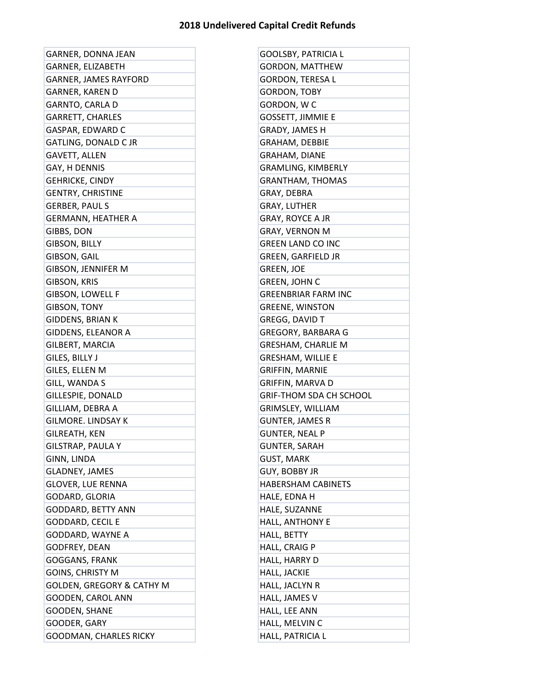×

| <b>GARNER, DONNA JEAN</b>            | <b>GOOLSBY, PATRICIA L</b>     |
|--------------------------------------|--------------------------------|
| GARNER, ELIZABETH                    | <b>GORDON, MATTHEW</b>         |
| <b>GARNER, JAMES RAYFORD</b>         | <b>GORDON, TERESA L</b>        |
| <b>GARNER, KAREN D</b>               | GORDON, TOBY                   |
| <b>GARNTO, CARLA D</b>               | GORDON, WC                     |
| <b>GARRETT, CHARLES</b>              | <b>GOSSETT, JIMMIE E</b>       |
| GASPAR, EDWARD C                     | GRADY, JAMES H                 |
| <b>GATLING, DONALD C JR</b>          | GRAHAM, DEBBIE                 |
| <b>GAVETT, ALLEN</b>                 | GRAHAM, DIANE                  |
| GAY, H DENNIS                        | <b>GRAMLING, KIMBERLY</b>      |
| <b>GEHRICKE, CINDY</b>               | <b>GRANTHAM, THOMAS</b>        |
| <b>GENTRY, CHRISTINE</b>             | GRAY, DEBRA                    |
| <b>GERBER, PAUL S</b>                | <b>GRAY, LUTHER</b>            |
| <b>GERMANN, HEATHER A</b>            | <b>GRAY, ROYCE A JR</b>        |
| GIBBS, DON                           | <b>GRAY, VERNON M</b>          |
| <b>GIBSON, BILLY</b>                 | <b>GREEN LAND CO INC</b>       |
| GIBSON, GAIL                         | <b>GREEN, GARFIELD JR</b>      |
| <b>GIBSON, JENNIFER M</b>            | GREEN, JOE                     |
| GIBSON, KRIS                         | GREEN, JOHN C                  |
| <b>GIBSON, LOWELL F</b>              | <b>GREENBRIAR FARM INC</b>     |
| <b>GIBSON, TONY</b>                  | <b>GREENE, WINSTON</b>         |
| <b>GIDDENS, BRIAN K</b>              | GREGG, DAVID T                 |
| <b>GIDDENS, ELEANOR A</b>            | GREGORY, BARBARA G             |
| GILBERT, MARCIA                      | <b>GRESHAM, CHARLIE M</b>      |
| GILES, BILLY J                       | <b>GRESHAM, WILLIE E</b>       |
| GILES, ELLEN M                       | <b>GRIFFIN, MARNIE</b>         |
| GILL, WANDA S                        | GRIFFIN, MARVA D               |
| GILLESPIE, DONALD                    | <b>GRIF-THOM SDA CH SCHOOL</b> |
| GILLIAM, DEBRA A                     | GRIMSLEY, WILLIAM              |
| <b>GILMORE. LINDSAY K</b>            | <b>GUNTER, JAMES R</b>         |
| <b>GILREATH, KEN</b>                 | <b>GUNTER, NEAL P</b>          |
| <b>GILSTRAP, PAULA Y</b>             | <b>GUNTER, SARAH</b>           |
| GINN, LINDA                          | <b>GUST, MARK</b>              |
| <b>GLADNEY, JAMES</b>                | GUY, BOBBY JR                  |
| <b>GLOVER, LUE RENNA</b>             | <b>HABERSHAM CABINETS</b>      |
| GODARD, GLORIA                       | HALE, EDNA H                   |
| <b>GODDARD, BETTY ANN</b>            | HALE, SUZANNE                  |
| <b>GODDARD, CECIL E</b>              | <b>HALL, ANTHONY E</b>         |
| GODDARD, WAYNE A                     | HALL, BETTY                    |
| <b>GODFREY, DEAN</b>                 | <b>HALL, CRAIG P</b>           |
| <b>GOGGANS, FRANK</b>                | HALL, HARRY D                  |
| <b>GOINS, CHRISTY M</b>              | HALL, JACKIE                   |
| <b>GOLDEN, GREGORY &amp; CATHY M</b> | HALL, JACLYN R                 |
| <b>GOODEN, CAROL ANN</b>             | HALL, JAMES V                  |
| GOODEN, SHANE                        | HALL, LEE ANN                  |
| GOODER, GARY                         | HALL, MELVIN C                 |
| <b>GOODMAN, CHARLES RICKY</b>        | HALL, PATRICIA L               |

| GOOLSBY, PATRICIA L            |
|--------------------------------|
| <b>GORDON, MATTHEW</b>         |
| <b>GORDON, TERESA L</b>        |
| <b>GORDON, TOBY</b>            |
| GORDON, WC                     |
| GOSSETT, JIMMIE E              |
| <b>GRADY, JAMES H</b>          |
| GRAHAM, DEBBIE                 |
| <b>GRAHAM, DIANE</b>           |
| <b>GRAMLING, KIMBERLY</b>      |
| <b>GRANTHAM, THOMAS</b>        |
| GRAY, DEBRA                    |
| <b>GRAY, LUTHER</b>            |
| GRAY, ROYCE A JR               |
| GRAY, VERNON M                 |
| <b>GREEN LAND CO INC</b>       |
| GREEN, GARFIELD JR             |
| <b>GREEN, JOE</b>              |
| GREEN, JOHN C                  |
| <b>GREENBRIAR FARM INC</b>     |
| <b>GREENE, WINSTON</b>         |
| <b>GREGG, DAVID T</b>          |
| <b>GREGORY, BARBARA G</b>      |
| <b>GRESHAM, CHARLIE M</b>      |
| <b>GRESHAM, WILLIE E</b>       |
| <b>GRIFFIN, MARNIE</b>         |
| GRIFFIN, MARVA D               |
| <b>GRIF-THOM SDA CH SCHOOL</b> |
| GRIMSLEY, WILLIAM              |
| <b>GUNTER, JAMES R</b>         |
| <b>GUNTER, NEAL P</b>          |
| <b>GUNTER, SARAH</b>           |
| <b>GUST, MARK</b>              |
| GUY, BOBBY JR                  |
| HABERSHAM CABINETS             |
| HALE, EDNA H                   |
| HALE, SUZANNE                  |
| HALL, ANTHONY E                |
| HALL, BETTY                    |
| <b>HALL, CRAIG P</b>           |
| HALL, HARRY D                  |
| HALL, JACKIE                   |
| HALL, JACLYN R                 |
| HALL, JAMES V                  |
| HALL, LEE ANN                  |
| HALL, MELVIN C                 |
| HALL, PATRICIA L               |
|                                |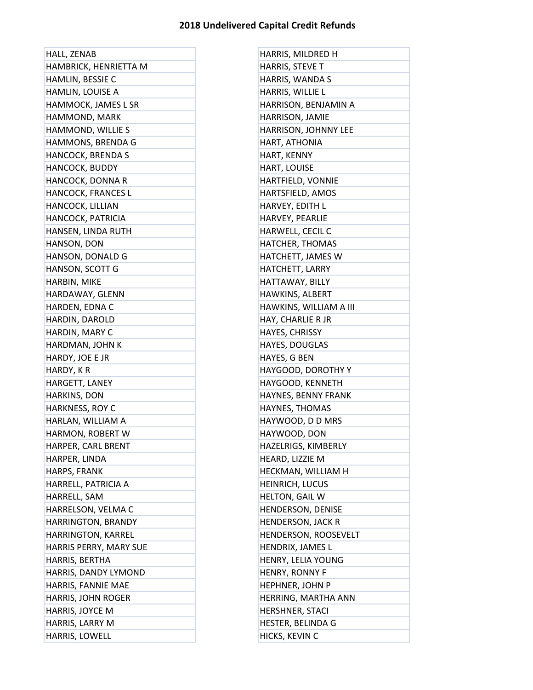| HALL, ZENAB              | HARRIS, MILDRED H        |
|--------------------------|--------------------------|
| HAMBRICK, HENRIETTA M    | HARRIS, STEVE T          |
| HAMLIN, BESSIE C         | HARRIS, WANDA S          |
| HAMLIN, LOUISE A         | HARRIS, WILLIE L         |
| HAMMOCK, JAMES L SR      | HARRISON, BENJAMIN A     |
| HAMMOND, MARK            | HARRISON, JAMIE          |
| HAMMOND, WILLIE S        | HARRISON, JOHNNY LEE     |
| HAMMONS, BRENDA G        | HART, ATHONIA            |
| <b>HANCOCK, BRENDA S</b> | HART, KENNY              |
| <b>HANCOCK, BUDDY</b>    | HART, LOUISE             |
| HANCOCK, DONNA R         | HARTFIELD, VONNIE        |
| HANCOCK, FRANCES L       | HARTSFIELD, AMOS         |
| HANCOCK, LILLIAN         | HARVEY, EDITH L          |
| HANCOCK, PATRICIA        | HARVEY, PEARLIE          |
| HANSEN, LINDA RUTH       | HARWELL, CECIL C         |
| HANSON, DON              | HATCHER, THOMAS          |
| HANSON, DONALD G         | HATCHETT, JAMES W        |
| HANSON, SCOTT G          | HATCHETT, LARRY          |
| HARBIN, MIKE             | HATTAWAY, BILLY          |
| HARDAWAY, GLENN          | HAWKINS, ALBERT          |
| HARDEN, EDNA C           | HAWKINS, WILLIAM A III   |
| HARDIN, DAROLD           | HAY, CHARLIE R JR        |
| HARDIN, MARY C           | HAYES, CHRISSY           |
| HARDMAN, JOHN K          | HAYES, DOUGLAS           |
| HARDY, JOE E JR          | HAYES, G BEN             |
| HARDY, KR                | HAYGOOD, DOROTHY Y       |
| HARGETT, LANEY           | HAYGOOD, KENNETH         |
| HARKINS, DON             | HAYNES, BENNY FRANK      |
| HARKNESS, ROY C          | HAYNES, THOMAS           |
| HARLAN, WILLIAM A        | HAYWOOD, D D MRS         |
| HARMON, ROBERT W         | HAYWOOD, DON             |
| HARPER, CARL BRENT       | HAZELRIGS, KIMBERLY      |
| HARPER, LINDA            | HEARD, LIZZIE M          |
| HARPS, FRANK             | HECKMAN, WILLIAM H       |
| HARRELL, PATRICIA A      | HEINRICH, LUCUS          |
| HARRELL, SAM             | HELTON, GAIL W           |
| HARRELSON, VELMA C       | HENDERSON, DENISE        |
| HARRINGTON, BRANDY       | <b>HENDERSON, JACK R</b> |
| HARRINGTON, KARREL       | HENDERSON, ROOSEVELT     |
| HARRIS PERRY, MARY SUE   | HENDRIX, JAMES L         |
| HARRIS, BERTHA           | HENRY, LELIA YOUNG       |
| HARRIS, DANDY LYMOND     | HENRY, RONNY F           |
| HARRIS, FANNIE MAE       | <b>HEPHNER, JOHN P</b>   |
| HARRIS, JOHN ROGER       | HERRING, MARTHA ANN      |
| HARRIS, JOYCE M          | HERSHNER, STACI          |
| HARRIS, LARRY M          | HESTER, BELINDA G        |
| HARRIS, LOWELL           | HICKS, KEVIN C           |

| HARRIS, MILDRED H         |
|---------------------------|
| HARRIS, STEVE T           |
| HARRIS, WANDA S           |
| HARRIS, WILLIE L          |
| HARRISON, BENJAMIN A      |
| HARRISON, JAMIE           |
| HARRISON, JOHNNY LEE      |
| HART, ATHONIA             |
| HART, KENNY               |
| HART, LOUISE              |
| HARTFIELD, VONNIE         |
| HARTSFIELD, AMOS          |
| HARVEY, EDITH L           |
| HARVEY, PEARLIE           |
| HARWELL, CECIL C          |
| <b>HATCHER, THOMAS</b>    |
| HATCHETT, JAMES W         |
| HATCHETT, LARRY           |
| HATTAWAY, BILLY           |
| HAWKINS, ALBERT           |
| HAWKINS, WILLIAM A III    |
| HAY, CHARLIE R JR         |
| HAYES, CHRISSY            |
| HAYES, DOUGLAS            |
| HAYES, G BEN              |
| <b>HAYGOOD, DOROTHY Y</b> |
| HAYGOOD, KENNETH          |
| HAYNES, BENNY FRANK       |
| HAYNES, THOMAS            |
| HAYWOOD, D D MRS          |
| HAYWOOD, DON              |
| HAZELRIGS, KIMBERLY       |
| HEARD, LIZZIE M           |
| HECKMAN, WILLIAM H        |
| <b>HEINRICH, LUCUS</b>    |
| HELTON, GAIL W            |
| HENDERSON, DENISE         |
| <b>HENDERSON, JACK R</b>  |
| HENDERSON, ROOSEVELT      |
| HENDRIX, JAMES L          |
| HENRY, LELIA YOUNG        |
| <b>HENRY, RONNY F</b>     |
| HEPHNER, JOHN P           |
| HERRING, MARTHA ANN       |
| HERSHNER, STACI           |
| HESTER, BELINDA G         |
| HICKS, KEVIN C            |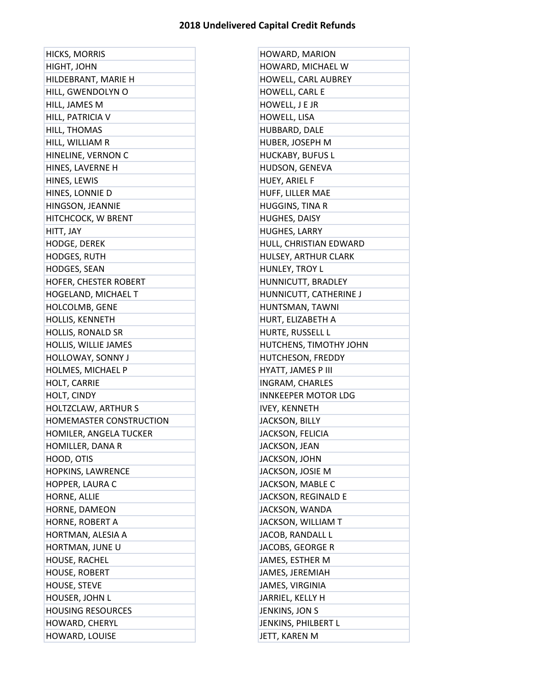| <b>HICKS, MORRIS</b>     | HOWARD, MARION             |
|--------------------------|----------------------------|
| HIGHT, JOHN              | HOWARD, MICHAEL W          |
| HILDEBRANT, MARIE H      | HOWELL, CARL AUBREY        |
| HILL, GWENDOLYN O        | HOWELL, CARL E             |
| HILL, JAMES M            | HOWELL, J E JR             |
| HILL, PATRICIA V         | HOWELL, LISA               |
| HILL, THOMAS             | HUBBARD, DALE              |
| HILL, WILLIAM R          | HUBER, JOSEPH M            |
| HINELINE, VERNON C       | HUCKABY, BUFUS L           |
| HINES, LAVERNE H         | HUDSON, GENEVA             |
| HINES, LEWIS             | HUEY, ARIEL F              |
| HINES, LONNIE D          | HUFF, LILLER MAE           |
| HINGSON, JEANNIE         | <b>HUGGINS, TINA R</b>     |
| HITCHCOCK, W BRENT       | <b>HUGHES, DAISY</b>       |
| HITT, JAY                | <b>HUGHES, LARRY</b>       |
| HODGE, DEREK             | HULL, CHRISTIAN EDWARD     |
| <b>HODGES, RUTH</b>      | HULSEY, ARTHUR CLARK       |
| HODGES, SEAN             | HUNLEY, TROY L             |
| HOFER, CHESTER ROBERT    | HUNNICUTT, BRADLEY         |
| HOGELAND, MICHAEL T      | HUNNICUTT, CATHERINE J     |
| HOLCOLMB, GENE           | HUNTSMAN, TAWNI            |
| HOLLIS, KENNETH          | HURT, ELIZABETH A          |
| <b>HOLLIS, RONALD SR</b> | HURTE, RUSSELL L           |
| HOLLIS, WILLIE JAMES     | HUTCHENS, TIMOTHY JOHN     |
| <b>HOLLOWAY, SONNY J</b> | HUTCHESON, FREDDY          |
| HOLMES, MICHAEL P        | HYATT, JAMES P III         |
| HOLT, CARRIE             | INGRAM, CHARLES            |
| HOLT, CINDY              | <b>INNKEEPER MOTOR LDG</b> |
| HOLTZCLAW, ARTHUR S      | <b>IVEY, KENNETH</b>       |
| HOMEMASTER CONSTRUCTION  | JACKSON, BILLY             |
| HOMILER, ANGELA TUCKER   | JACKSON, FELICIA           |
| HOMILLER, DANA R         | JACKSON, JEAN              |
| HOOD, OTIS               | JACKSON, JOHN              |
| HOPKINS, LAWRENCE        | JACKSON, JOSIE M           |
| HOPPER, LAURA C          | JACKSON, MABLE C           |
| HORNE, ALLIE             | JACKSON, REGINALD E        |
| HORNE, DAMEON            | JACKSON, WANDA             |
| HORNE, ROBERT A          | JACKSON, WILLIAM T         |
| HORTMAN, ALESIA A        | JACOB, RANDALL L           |
| HORTMAN, JUNE U          | JACOBS, GEORGE R           |
| HOUSE, RACHEL            | JAMES, ESTHER M            |
| HOUSE, ROBERT            | JAMES, JEREMIAH            |
| HOUSE, STEVE             | JAMES, VIRGINIA            |
| HOUSER, JOHN L           | JARRIEL, KELLY H           |
| <b>HOUSING RESOURCES</b> | JENKINS, JON S             |
| HOWARD, CHERYL           | JENKINS, PHILBERT L        |
| HOWARD, LOUISE           | JETT, KAREN M              |

| HOWARD, MARION             |
|----------------------------|
| HOWARD, MICHAEL W          |
| HOWELL, CARL AUBREY        |
| HOWELL, CARL E             |
| HOWELL, J E JR             |
| HOWELL, LISA               |
| HUBBARD, DALE              |
| HUBER, JOSEPH M            |
| <b>HUCKABY, BUFUS L</b>    |
| HUDSON, GENEVA             |
| HUEY, ARIEL F              |
| HUFF, LILLER MAE           |
| HUGGINS, TINA R            |
| <b>HUGHES, DAISY</b>       |
| <b>HUGHES, LARRY</b>       |
| HULL, CHRISTIAN EDWARD     |
| HULSEY, ARTHUR CLARK       |
| HUNLEY, TROY L             |
| HUNNICUTT, BRADLEY         |
| HUNNICUTT, CATHERINE J     |
| HUNTSMAN, TAWNI            |
| HURT, ELIZABETH A          |
| HURTE, RUSSELL L           |
| HUTCHENS, TIMOTHY JOHN     |
| HUTCHESON, FREDDY          |
| HYATT, JAMES P III         |
| INGRAM, CHARLES            |
| <b>INNKEEPER MOTOR LDG</b> |
| <b>IVEY, KENNETH</b>       |
| JACKSON, BILLY             |
| <b>JACKSON, FELICIA</b>    |
| JACKSON, JEAN              |
| JACKSON, JOHN              |
| JACKSON, JOSIE M           |
| JACKSON, MABLE C           |
| JACKSON, REGINALD E        |
| JACKSON, WANDA             |
| JACKSON, WILLIAM T         |
| JACOB, RANDALL L           |
| JACOBS, GEORGE R           |
| JAMES, ESTHER M            |
| JAMES, JEREMIAH            |
| JAMES, VIRGINIA            |
| JARRIEL, KELLY H           |
| JENKINS, JON S             |
| JENKINS, PHILBERT L        |
| JETT, KAREN M              |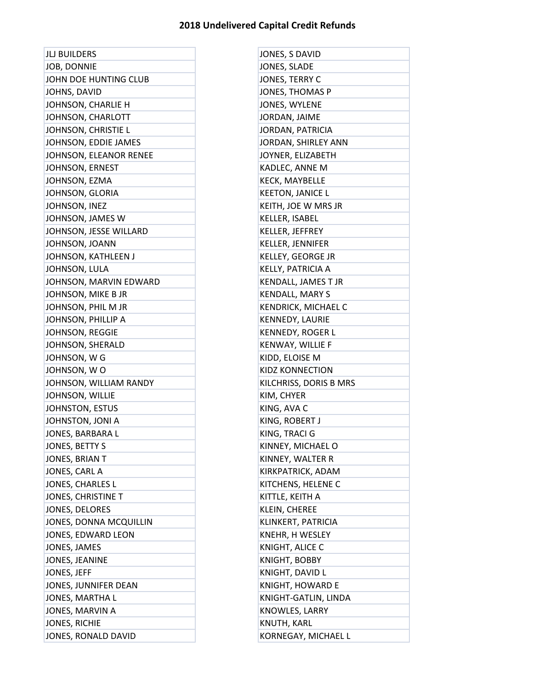| <b>JLJ BUILDERS</b>           | JONES, S DAVID          |
|-------------------------------|-------------------------|
| <b>JOB, DONNIE</b>            | <b>JONES, SLADE</b>     |
| JOHN DOE HUNTING CLUB         | JONES, TERRY C          |
| JOHNS, DAVID                  | JONES, THOMAS P         |
| JOHNSON, CHARLIE H            | JONES, WYLENE           |
| JOHNSON, CHARLOTT             | JORDAN, JAIME           |
| JOHNSON, CHRISTIE L           | JORDAN, PATRICIA        |
| JOHNSON, EDDIE JAMES          | JORDAN, SHIRLEY ANN     |
| JOHNSON, ELEANOR RENEE        | JOYNER, ELIZABETH       |
| JOHNSON, ERNEST               | KADLEC, ANNE M          |
| JOHNSON, EZMA                 | <b>KECK, MAYBELLE</b>   |
| JOHNSON, GLORIA               | <b>KEETON, JANICE L</b> |
| JOHNSON, INEZ                 | KEITH, JOE W MRS JR     |
| JOHNSON, JAMES W              | KELLER, ISABEL          |
| JOHNSON, JESSE WILLARD        | KELLER, JEFFREY         |
| JOHNSON, JOANN                | KELLER, JENNIFER        |
| JOHNSON, KATHLEEN J           | KELLEY, GEORGE JR       |
| JOHNSON, LULA                 | KELLY, PATRICIA A       |
| JOHNSON, MARVIN EDWARD        | KENDALL, JAMES T JR     |
| JOHNSON, MIKE B JR            | <b>KENDALL, MARY S</b>  |
| JOHNSON, PHIL M JR            | KENDRICK, MICHAEL C     |
| JOHNSON, PHILLIP A            | KENNEDY, LAURIE         |
| JOHNSON, REGGIE               | <b>KENNEDY, ROGER L</b> |
| JOHNSON, SHERALD              | KENWAY, WILLIE F        |
| JOHNSON, WG                   | KIDD, ELOISE M          |
| JOHNSON, WO                   | <b>KIDZ KONNECTION</b>  |
| JOHNSON, WILLIAM RANDY        | KILCHRISS, DORIS B MRS  |
| JOHNSON, WILLIE               | KIM, CHYER              |
| JOHNSTON, ESTUS               | KING, AVA C             |
| JOHNSTON, JONI A              | KING, ROBERT J          |
| JONES, BARBARA L              | KING, TRACI G           |
| JONES, BETTY S                | KINNEY, MICHAEL O       |
| JONES, BRIAN T                | KINNEY, WALTER R        |
| JONES, CARL A                 | KIRKPATRICK, ADAM       |
| JONES, CHARLES L              | KITCHENS, HELENE C      |
| JONES, CHRISTINE T            | KITTLE, KEITH A         |
| JONES, DELORES                | KLEIN, CHEREE           |
| <b>JONES, DONNA MCQUILLIN</b> | KLINKERT, PATRICIA      |
| JONES, EDWARD LEON            | KNEHR, H WESLEY         |
| JONES, JAMES                  | KNIGHT, ALICE C         |
| JONES, JEANINE                | KNIGHT, BOBBY           |
| JONES, JEFF                   | KNIGHT, DAVID L         |
| JONES, JUNNIFER DEAN          | KNIGHT, HOWARD E        |
| JONES, MARTHA L               | KNIGHT-GATLIN, LINDA    |
| JONES, MARVIN A               | KNOWLES, LARRY          |
| JONES, RICHIE                 | KNUTH, KARL             |
| JONES, RONALD DAVID           | KORNEGAY, MICHAEL L     |

| JONES, S DAVID             |
|----------------------------|
| JONES, SLADE               |
| JONES, TERRY C             |
| JONES, THOMAS P            |
| JONES, WYLENE              |
| JORDAN, JAIME              |
| JORDAN, PATRICIA           |
| JORDAN, SHIRLEY ANN        |
| JOYNER, ELIZABETH          |
| KADLEC, ANNE M             |
| <b>KECK, MAYBELLE</b>      |
| <b>KEETON, JANICE L</b>    |
| KEITH, JOE W MRS JR        |
| KELLER, ISABEL             |
| KELLER, JEFFREY            |
| KELLER, JENNIFER           |
| <b>KELLEY, GEORGE JR</b>   |
| KELLY, PATRICIA A          |
| KENDALL, JAMES T JR        |
| <b>KENDALL, MARY S</b>     |
| <b>KENDRICK, MICHAEL C</b> |
| KENNEDY, LAURIE            |
| <b>KENNEDY, ROGER L</b>    |
| KENWAY, WILLIE F           |
| KIDD, ELOISE M             |
| <b>KIDZ KONNECTION</b>     |
| KILCHRISS, DORIS B MRS     |
| KIM, CHYER                 |
| KING, AVA C                |
| KING, ROBERT J             |
| KING, TRACI G              |
| KINNEY, MICHAEL O          |
| KINNEY, WALTER R           |
| KIRKPATRICK, ADAM          |
| KITCHENS, HELENE C         |
| KITTLE, KEITH A            |
| KLEIN, CHEREE              |
| KLINKERT, PATRICIA         |
| KNEHR, H WESLEY            |
| KNIGHT, ALICE C            |
| KNIGHT, BOBBY              |
| KNIGHT, DAVID L            |
| <b>KNIGHT, HOWARD E</b>    |
| KNIGHT-GATLIN, LINDA       |
| KNOWLES, LARRY             |
| KNUTH, KARL                |
| KORNEGAY, MICHAEL L        |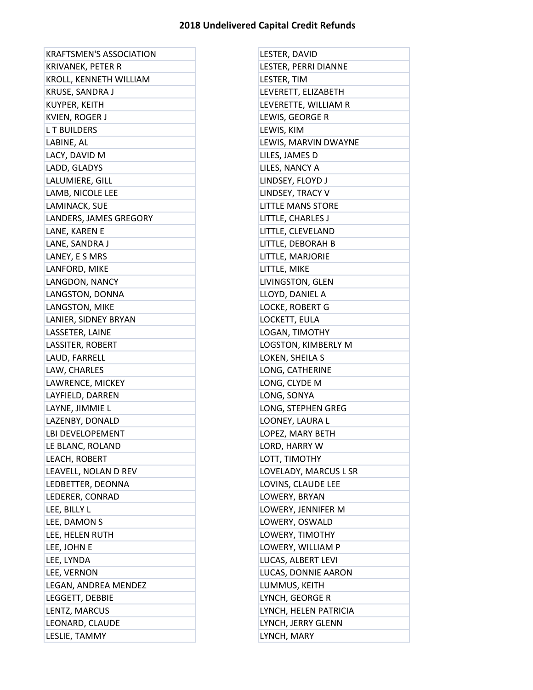| <b>KRAFTSMEN'S ASSOCIATION</b> | LESTER, DAVID            |
|--------------------------------|--------------------------|
| <b>KRIVANEK, PETER R</b>       | LESTER, PERRI DIANNE     |
| KROLL, KENNETH WILLIAM         | LESTER, TIM              |
| KRUSE, SANDRA J                | LEVERETT, ELIZABETH      |
| KUYPER, KEITH                  | LEVERETTE, WILLIAM R     |
| <b>KVIEN, ROGER J</b>          | LEWIS, GEORGE R          |
| <b>LT BUILDERS</b>             | LEWIS, KIM               |
| LABINE, AL                     | LEWIS, MARVIN DWAYNE     |
| LACY, DAVID M                  | LILES, JAMES D           |
| LADD, GLADYS                   | LILES, NANCY A           |
| LALUMIERE, GILL                | LINDSEY, FLOYD J         |
| LAMB, NICOLE LEE               | LINDSEY, TRACY V         |
| LAMINACK, SUE                  | <b>LITTLE MANS STORE</b> |
| LANDERS, JAMES GREGORY         | LITTLE, CHARLES J        |
| LANE, KAREN E                  | LITTLE, CLEVELAND        |
| LANE, SANDRA J                 | LITTLE, DEBORAH B        |
| LANEY, E S MRS                 | LITTLE, MARJORIE         |
| LANFORD, MIKE                  | LITTLE, MIKE             |
| LANGDON, NANCY                 | LIVINGSTON, GLEN         |
| LANGSTON, DONNA                | LLOYD, DANIEL A          |
| LANGSTON, MIKE                 | LOCKE, ROBERT G          |
| LANIER, SIDNEY BRYAN           | LOCKETT, EULA            |
| LASSETER, LAINE                | LOGAN, TIMOTHY           |
| LASSITER, ROBERT               | LOGSTON, KIMBERLY M      |
| LAUD, FARRELL                  | LOKEN, SHEILA S          |
| LAW, CHARLES                   | LONG, CATHERINE          |
| LAWRENCE, MICKEY               | LONG, CLYDE M            |
| LAYFIELD, DARREN               | LONG, SONYA              |
| LAYNE, JIMMIE L                | LONG, STEPHEN GREG       |
| LAZENBY, DONALD                | LOONEY, LAURA L          |
| LBI DEVELOPEMENT               | LOPEZ, MARY BETH         |
| LE BLANC, ROLAND               | LORD, HARRY W            |
| LEACH, ROBERT                  | LOTT, TIMOTHY            |
| LEAVELL, NOLAN D REV           | LOVELADY, MARCUS L SR    |
| LEDBETTER, DEONNA              | LOVINS, CLAUDE LEE       |
| LEDERER, CONRAD                | LOWERY, BRYAN            |
| LEE, BILLY L                   | LOWERY, JENNIFER M       |
| LEE, DAMON S                   | LOWERY, OSWALD           |
| LEE, HELEN RUTH                | LOWERY, TIMOTHY          |
| LEE, JOHN E                    | LOWERY, WILLIAM P        |
| LEE, LYNDA                     | LUCAS, ALBERT LEVI       |
| LEE, VERNON                    | LUCAS, DONNIE AARON      |
| LEGAN, ANDREA MENDEZ           | LUMMUS, KEITH            |
| LEGGETT, DEBBIE                | LYNCH, GEORGE R          |
| LENTZ, MARCUS                  | LYNCH, HELEN PATRICIA    |
| LEONARD, CLAUDE                | LYNCH, JERRY GLENN       |
| LESLIE, TAMMY                  | LYNCH, MARY              |

| LESTER, DAVID            |
|--------------------------|
| LESTER, PERRI DIANNE     |
| LESTER, TIM              |
| LEVERETT, ELIZABETH      |
| LEVERETTE, WILLIAM R     |
| LEWIS, GEORGE R          |
| LEWIS, KIM               |
| LEWIS, MARVIN DWAYNE     |
| LILES, JAMES D           |
| LILES, NANCY A           |
| LINDSEY, FLOYD J         |
| LINDSEY, TRACY V         |
| <b>LITTLE MANS STORE</b> |
| LITTLE, CHARLES J        |
| LITTLE, CLEVELAND        |
| LITTLE, DEBORAH B        |
| LITTLE, MARJORIE         |
| LITTLE, MIKE             |
| LIVINGSTON, GLEN         |
| LLOYD, DANIEL A          |
| LOCKE, ROBERT G          |
| LOCKETT, EULA            |
| LOGAN, TIMOTHY           |
| LOGSTON, KIMBERLY M      |
| LOKEN, SHEILA S          |
| LONG, CATHERINE          |
| LONG, CLYDE M            |
| LONG, SONYA              |
| LONG, STEPHEN GREG       |
| LOONEY, LAURA L          |
| LOPEZ, MARY BETH         |
| LORD, HARRY W            |
| LOTT, TIMOTHY            |
| LOVELADY, MARCUS L SR    |
| LOVINS, CLAUDE LEE       |
| LOWERY, BRYAN            |
| LOWERY, JENNIFER M       |
| LOWERY, OSWALD           |
| LOWERY, TIMOTHY          |
| LOWERY, WILLIAM P        |
| LUCAS, ALBERT LEVI       |
| LUCAS, DONNIE AARON      |
| LUMMUS, KEITH            |
| LYNCH, GEORGE R          |
| LYNCH, HELEN PATRICIA    |
| LYNCH, JERRY GLENN       |
| LYNCH, MARY              |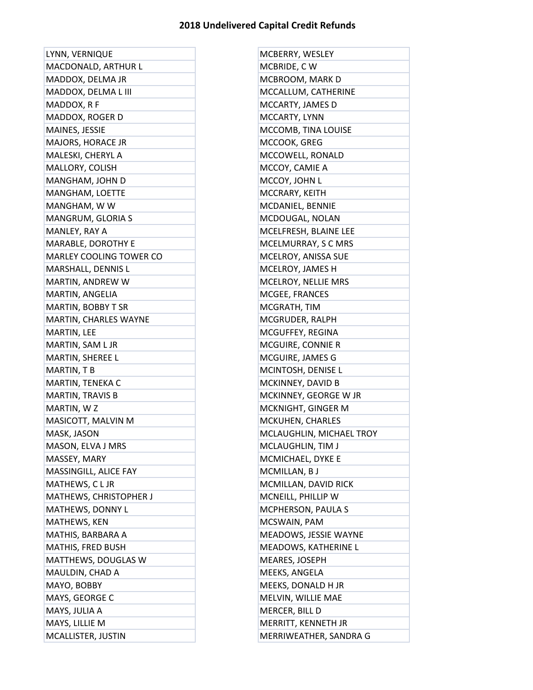÷

| LYNN, VERNIQUE                 | MCBERRY, WESLEY           |
|--------------------------------|---------------------------|
| MACDONALD, ARTHUR L            | MCBRIDE, CW               |
| MADDOX, DELMA JR               | MCBROOM, MARK D           |
| MADDOX, DELMA L III            | MCCALLUM, CATHERINE       |
| MADDOX, R F                    | MCCARTY, JAMES D          |
| MADDOX, ROGER D                | MCCARTY, LYNN             |
| MAINES, JESSIE                 | MCCOMB, TINA LOUISE       |
| MAJORS, HORACE JR              | MCCOOK, GREG              |
| MALESKI, CHERYL A              | MCCOWELL, RONALD          |
| MALLORY, COLISH                | MCCOY, CAMIE A            |
| MANGHAM, JOHN D                | MCCOY, JOHN L             |
| MANGHAM, LOETTE                | MCCRARY, KEITH            |
| MANGHAM, W W                   | MCDANIEL, BENNIE          |
| MANGRUM, GLORIA S              | MCDOUGAL, NOLAN           |
| MANLEY, RAY A                  | MCELFRESH, BLAINE LEE     |
| MARABLE, DOROTHY E             | MCELMURRAY, SCMRS         |
| <b>MARLEY COOLING TOWER CO</b> | MCELROY, ANISSA SUE       |
| MARSHALL, DENNIS L             | MCELROY, JAMES H          |
| MARTIN, ANDREW W               | MCELROY, NELLIE MRS       |
| MARTIN, ANGELIA                | MCGEE, FRANCES            |
| MARTIN, BOBBY T SR             | MCGRATH, TIM              |
| MARTIN, CHARLES WAYNE          | MCGRUDER, RALPH           |
| MARTIN, LEE                    | MCGUFFEY, REGINA          |
| MARTIN, SAM L JR               | MCGUIRE, CONNIE R         |
| MARTIN, SHEREE L               | MCGUIRE, JAMES G          |
| MARTIN, T B                    | MCINTOSH, DENISE L        |
| MARTIN, TENEKA C               | MCKINNEY, DAVID B         |
| <b>MARTIN, TRAVIS B</b>        | MCKINNEY, GEORGE W JR     |
| MARTIN, WZ                     | MCKNIGHT, GINGER M        |
| MASICOTT, MALVIN M             | MCKUHEN, CHARLES          |
| MASK, JASON                    | MCLAUGHLIN, MICHAEL TROY  |
| MASON, ELVA J MRS              | MCLAUGHLIN, TIM J         |
| MASSEY, MARY                   | MCMICHAEL, DYKE E         |
| MASSINGILL, ALICE FAY          | MCMILLAN, BJ              |
| MATHEWS, CLJR                  | MCMILLAN, DAVID RICK      |
| <b>MATHEWS, CHRISTOPHER J</b>  | MCNEILL, PHILLIP W        |
| MATHEWS, DONNY L               | <b>MCPHERSON, PAULA S</b> |
| MATHEWS, KEN                   | MCSWAIN, PAM              |
| MATHIS, BARBARA A              | MEADOWS, JESSIE WAYNE     |
| <b>MATHIS, FRED BUSH</b>       | MEADOWS, KATHERINE L      |
| MATTHEWS, DOUGLAS W            | MEARES, JOSEPH            |
| MAULDIN, CHAD A                | MEEKS, ANGELA             |
| MAYO, BOBBY                    | MEEKS, DONALD H JR        |
| MAYS, GEORGE C                 | MELVIN, WILLIE MAE        |
| MAYS, JULIA A                  | MERCER, BILL D            |
| MAYS, LILLIE M                 | MERRITT, KENNETH JR       |
| MCALLISTER, JUSTIN             | MERRIWEATHER, SANDRA G    |
|                                |                           |

| MCBERRY, WESLEY          |
|--------------------------|
| MCBRIDE, CW              |
| MCBROOM, MARK D          |
| MCCALLUM, CATHERINE      |
| MCCARTY, JAMES D         |
| MCCARTY, LYNN            |
| MCCOMB, TINA LOUISE      |
| MCCOOK, GREG             |
| MCCOWELL, RONALD         |
| MCCOY, CAMIE A           |
| MCCOY, JOHN L            |
| MCCRARY, KEITH           |
| MCDANIEL, BENNIE         |
| MCDOUGAL, NOLAN          |
| MCELFRESH, BLAINE LEE    |
| MCELMURRAY, SCMRS        |
| MCELROY, ANISSA SUE      |
| MCELROY, JAMES H         |
| MCELROY, NELLIE MRS      |
| MCGEE, FRANCES           |
| MCGRATH, TIM             |
| MCGRUDER, RALPH          |
| MCGUFFEY, REGINA         |
| MCGUIRE, CONNIE R        |
| MCGUIRE, JAMES G         |
| MCINTOSH, DENISE L       |
| MCKINNEY, DAVID B        |
| MCKINNEY, GEORGE W JR    |
| MCKNIGHT, GINGER M       |
| MCKUHEN, CHARLES         |
| MCLAUGHLIN, MICHAEL TROY |
| MCLAUGHLIN, TIM J        |
| MCMICHAEL, DYKE E        |
| MCMILLAN, B J            |
| MCMILLAN, DAVID RICK     |
| MCNEILL, PHILLIP W       |
| MCPHERSON, PAULA S       |
| MCSWAIN, PAM             |
| MEADOWS, JESSIE WAYNE    |
| MEADOWS, KATHERINE L     |
| MEARES, JOSEPH           |
| MEEKS, ANGELA            |
| MEEKS, DONALD H JR       |
| MELVIN, WILLIE MAE       |
| MERCER, BILL D           |
| MERRITT, KENNETH JR      |
| MERRIWEATHER, SANDRA G   |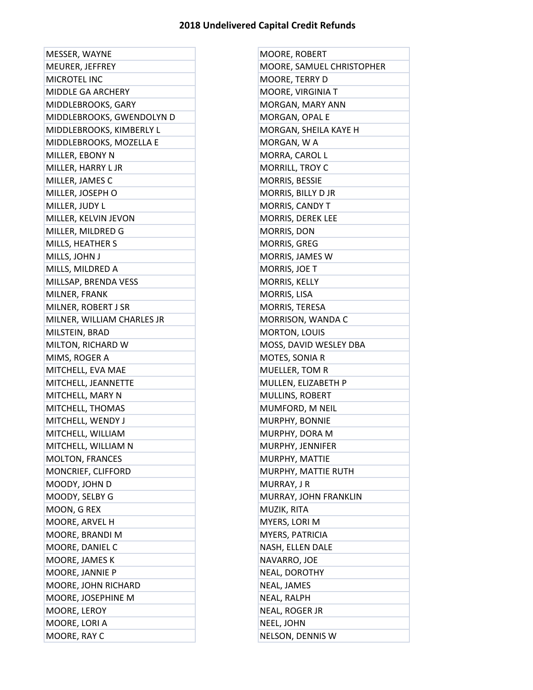MESSER, WAYNE MEURER, JEFFREY MICROTEL INC MIDDLE GA ARCHERY MIDDLEBROOKS, GARY MIDDLEBROOKS, GWENDOLYN D MIDDLEBROOKS, KIMBERLY L MIDDLEBROOKS, MOZELLA E MILLER, EBONY N MILLER, HARRY L JR MILLER, JAMES C MILLER, JOSEPH O MILLER, JUDY L MILLER, KELVIN JEVON MILLER, MILDRED G MILLS, HEATHER S MILLS, JOHN J MILLS, MILDRED A MILLSAP, BRENDA VESS MILNER, FRANK MILNER, ROBERT J SR MILNER, WILLIAM CHARLES JR MILSTEIN, BRAD MILTON, RICHARD W MIMS, ROGER A MITCHELL, EVA MAE MITCHELL, JEANNETTE MITCHELL, MARY N MITCHELL, THOMAS MITCHELL, WENDY J MITCHELL, WILLIAM MITCHELL, WILLIAM N MOLTON, FRANCES MONCRIEF, CLIFFORD MOODY, JOHN D MOODY, SELBY G MOON, G REX MOORE, ARVEL H MOORE, BRANDI M MOORE, DANIEL C MOORE, JAMES K MOORE, JANNIE P MOORE, JOHN RICHARD MOORE, JOSEPHINE M MOORE, LEROY MOORE, LORI A MOORE, RAY C

| MOORE, ROBERT             |
|---------------------------|
| MOORE, SAMUEL CHRISTOPHER |
| MOORE, TERRY D            |
| MOORE, VIRGINIA T         |
| MORGAN, MARY ANN          |
| MORGAN, OPAL E            |
| MORGAN, SHEILA KAYE H     |
| MORGAN, W A               |
| MORRA, CAROL L            |
| MORRILL, TROY C           |
| MORRIS, BESSIE            |
| MORRIS, BILLY D JR        |
| MORRIS, CANDY T           |
| MORRIS, DEREK LEE         |
| <b>MORRIS, DON</b>        |
| MORRIS, GREG              |
| MORRIS, JAMES W           |
| MORRIS, JOE T             |
| MORRIS, KELLY             |
| MORRIS, LISA              |
| MORRIS, TERESA            |
| MORRISON, WANDA C         |
| MORTON, LOUIS             |
| MOSS, DAVID WESLEY DBA    |
| MOTES, SONIA R            |
| MUELLER, TOM R            |
| MULLEN, ELIZABETH P       |
| <b>MULLINS, ROBERT</b>    |
| MUMFORD, M NEIL           |
| MURPHY, BONNIE            |
| MURPHY, DORA M            |
| MURPHY, JENNIFER          |
| MURPHY, MATTIE            |
| MURPHY, MATTIE RUTH       |
| MURRAY, J R               |
| MURRAY, JOHN FRANKLIN     |
| MUZIK, RITA               |
| MYERS, LORI M             |
| MYERS, PATRICIA           |
| NASH, ELLEN DALE          |
| NAVARRO, JOE              |
| NEAL, DOROTHY             |
| NEAL, JAMES               |
| NEAL, RALPH               |
| NEAL, ROGER JR            |
| NEEL, JOHN                |
| NELSON, DENNIS W          |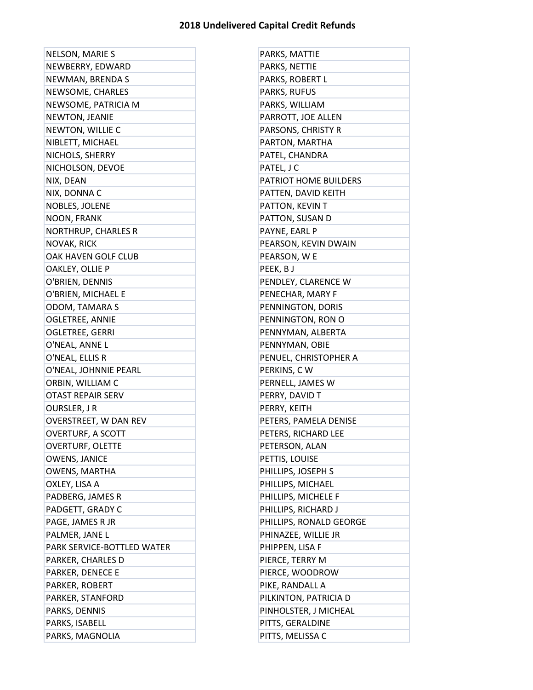| <b>NELSON, MARIE S</b>     | PARKS, MATTIE           |
|----------------------------|-------------------------|
| NEWBERRY, EDWARD           | PARKS, NETTIE           |
| NEWMAN, BRENDA S           | PARKS, ROBERT L         |
| NEWSOME, CHARLES           | PARKS, RUFUS            |
| NEWSOME, PATRICIA M        | PARKS, WILLIAM          |
| NEWTON, JEANIE             | PARROTT, JOE ALLEN      |
| NEWTON, WILLIE C           | PARSONS, CHRISTY R      |
| NIBLETT, MICHAEL           | PARTON, MARTHA          |
| NICHOLS, SHERRY            | PATEL, CHANDRA          |
| NICHOLSON, DEVOE           | PATEL, J C              |
| NIX, DEAN                  | PATRIOT HOME BUILDERS   |
| NIX, DONNA C               | PATTEN, DAVID KEITH     |
| NOBLES, JOLENE             | PATTON, KEVIN T         |
| NOON, FRANK                | PATTON, SUSAN D         |
| <b>NORTHRUP, CHARLES R</b> | PAYNE, EARL P           |
| <b>NOVAK, RICK</b>         | PEARSON, KEVIN DWAIN    |
| OAK HAVEN GOLF CLUB        | PEARSON, W E            |
| OAKLEY, OLLIE P            | PEEK, BJ                |
| O'BRIEN, DENNIS            | PENDLEY, CLARENCE W     |
| O'BRIEN, MICHAEL E         | PENECHAR, MARY F        |
| <b>ODOM, TAMARA S</b>      | PENNINGTON, DORIS       |
| <b>OGLETREE, ANNIE</b>     | PENNINGTON, RON O       |
| <b>OGLETREE, GERRI</b>     | PENNYMAN, ALBERTA       |
| O'NEAL, ANNE L             | PENNYMAN, OBIE          |
| O'NEAL, ELLIS R            | PENUEL, CHRISTOPHER A   |
| O'NEAL, JOHNNIE PEARL      | PERKINS, CW             |
| ORBIN, WILLIAM C           | PERNELL, JAMES W        |
| <b>OTAST REPAIR SERV</b>   | PERRY, DAVID T          |
| OURSLER, J R               | PERRY, KEITH            |
| OVERSTREET, W DAN REV      | PETERS, PAMELA DENISE   |
| <b>OVERTURF, A SCOTT</b>   | PETERS, RICHARD LEE     |
| <b>OVERTURF, OLETTE</b>    | PETERSON, ALAN          |
| <b>OWENS, JANICE</b>       | PETTIS, LOUISE          |
| <b>OWENS, MARTHA</b>       | PHILLIPS, JOSEPH S      |
| OXLEY, LISA A              | PHILLIPS, MICHAEL       |
| PADBERG, JAMES R           | PHILLIPS, MICHELE F     |
| PADGETT, GRADY C           | PHILLIPS, RICHARD J     |
| PAGE, JAMES R JR           | PHILLIPS, RONALD GEORGE |
| PALMER, JANE L             | PHINAZEE, WILLIE JR     |
| PARK SERVICE-BOTTLED WATER | PHIPPEN, LISA F         |
| PARKER, CHARLES D          | PIERCE, TERRY M         |
| PARKER, DENECE E           | PIERCE, WOODROW         |
| PARKER, ROBERT             | PIKE, RANDALL A         |
| PARKER, STANFORD           | PILKINTON, PATRICIA D   |
| PARKS, DENNIS              | PINHOLSTER, J MICHEAL   |
| PARKS, ISABELL             | PITTS, GERALDINE        |
| PARKS, MAGNOLIA            | PITTS, MELISSA C        |

| PARKS, MATTIE           |
|-------------------------|
| PARKS, NETTIE           |
| PARKS, ROBERT L         |
| PARKS, RUFUS            |
| PARKS, WILLIAM          |
| PARROTT, JOE ALLEN      |
| PARSONS, CHRISTY R      |
| PARTON, MARTHA          |
| PATEL, CHANDRA          |
| PATEL, J C              |
| PATRIOT HOME BUILDERS   |
| PATTEN, DAVID KEITH     |
| PATTON, KEVIN T         |
| PATTON, SUSAN D         |
| PAYNE, EARL P           |
| PEARSON, KEVIN DWAIN    |
| PEARSON, W E            |
| PEEK, BJ                |
| PENDLEY, CLARENCE W     |
| PENECHAR, MARY F        |
| PENNINGTON, DORIS       |
| PENNINGTON, RON O       |
| PENNYMAN, ALBERTA       |
| PENNYMAN, OBIE          |
| PENUEL, CHRISTOPHER A   |
| PERKINS, CW             |
| PERNELL, JAMES W        |
| PERRY, DAVID T          |
| PERRY, KEITH            |
| PETERS, PAMELA DENISE   |
| PETERS, RICHARD LEE     |
| PETERSON, ALAN          |
| PETTIS, LOUISE          |
| PHILLIPS, JOSEPH S      |
| PHILLIPS, MICHAEL       |
| PHILLIPS, MICHELE F     |
| PHILLIPS, RICHARD J     |
| PHILLIPS, RONALD GEORGE |
| PHINAZEE, WILLIE JR     |
| PHIPPEN, LISA F         |
| PIERCE, TERRY M         |
| PIERCE, WOODROW         |
| PIKE, RANDALL A         |
| PILKINTON, PATRICIA D   |
| PINHOLSTER, J MICHEAL   |
| PITTS, GERALDINE        |
| PITTS, MELISSA C        |
|                         |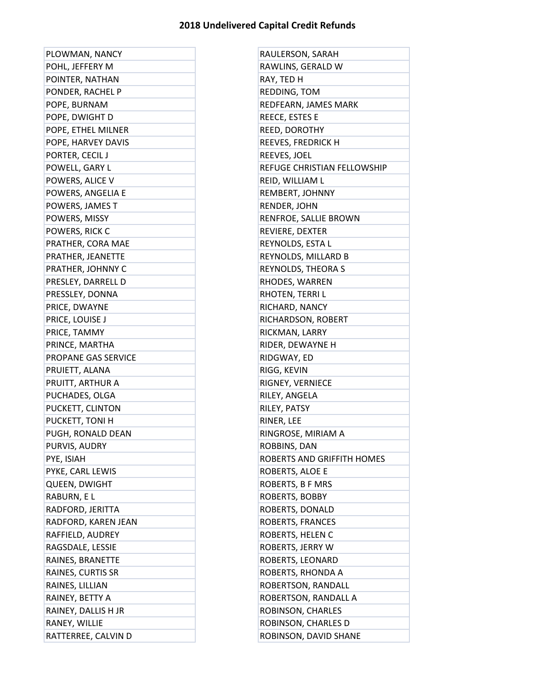| PLOWMAN, NANCY      | RAULERSON, SARAH            |
|---------------------|-----------------------------|
| POHL, JEFFERY M     | RAWLINS, GERALD W           |
| POINTER, NATHAN     | RAY, TED H                  |
| PONDER, RACHEL P    | REDDING, TOM                |
| POPE, BURNAM        | REDFEARN, JAMES MARK        |
| POPE, DWIGHT D      | REECE, ESTES E              |
| POPE, ETHEL MILNER  | REED, DOROTHY               |
| POPE, HARVEY DAVIS  | REEVES, FREDRICK H          |
| PORTER, CECIL J     | REEVES, JOEL                |
| POWELL, GARY L      | REFUGE CHRISTIAN FELLOWSHIP |
| POWERS, ALICE V     | REID, WILLIAM L             |
| POWERS, ANGELIA E   | REMBERT, JOHNNY             |
| POWERS, JAMES T     | RENDER, JOHN                |
| POWERS, MISSY       | RENFROE, SALLIE BROWN       |
| POWERS, RICK C      | REVIERE, DEXTER             |
| PRATHER, CORA MAE   | REYNOLDS, ESTA L            |
| PRATHER, JEANETTE   | REYNOLDS, MILLARD B         |
| PRATHER, JOHNNY C   | REYNOLDS, THEORA S          |
| PRESLEY, DARRELL D  | RHODES, WARREN              |
| PRESSLEY, DONNA     | RHOTEN, TERRI L             |
| PRICE, DWAYNE       | RICHARD, NANCY              |
| PRICE, LOUISE J     | RICHARDSON, ROBERT          |
| PRICE, TAMMY        | RICKMAN, LARRY              |
| PRINCE, MARTHA      | RIDER, DEWAYNE H            |
| PROPANE GAS SERVICE | RIDGWAY, ED                 |
| PRUIETT, ALANA      | RIGG, KEVIN                 |
| PRUITT, ARTHUR A    | RIGNEY, VERNIECE            |
| PUCHADES, OLGA      | RILEY, ANGELA               |
| PUCKETT, CLINTON    | RILEY, PATSY                |
| PUCKETT, TONI H     | RINER, LEE                  |
| PUGH, RONALD DEAN   | RINGROSE, MIRIAM A          |
| PURVIS, AUDRY       | ROBBINS, DAN                |
| PYE, ISIAH          | ROBERTS AND GRIFFITH HOMES  |
| PYKE, CARL LEWIS    | ROBERTS, ALOE E             |
| QUEEN, DWIGHT       | ROBERTS, B F MRS            |
| RABURN, EL          | ROBERTS, BOBBY              |
| RADFORD, JERITTA    | ROBERTS, DONALD             |
| RADFORD, KAREN JEAN | ROBERTS, FRANCES            |
| RAFFIELD, AUDREY    | ROBERTS, HELEN C            |
| RAGSDALE, LESSIE    | ROBERTS, JERRY W            |
| RAINES, BRANETTE    | ROBERTS, LEONARD            |
| RAINES, CURTIS SR   | ROBERTS, RHONDA A           |
| RAINES, LILLIAN     | ROBERTSON, RANDALL          |
| RAINEY, BETTY A     | ROBERTSON, RANDALL A        |
| RAINEY, DALLIS H JR | ROBINSON, CHARLES           |
| RANEY, WILLIE       | ROBINSON, CHARLES D         |
| RATTERREE, CALVIN D | ROBINSON, DAVID SHANE       |

| RAULERSON, SARAH                     |                             |
|--------------------------------------|-----------------------------|
| RAWLINS, GERALD W                    |                             |
| RAY, TED H                           |                             |
| REDDING, TOM                         |                             |
| REDFEARN, JAMES MARK                 |                             |
| REECE, ESTES E                       |                             |
| REED, DOROTHY                        |                             |
| REEVES, FREDRICK H                   |                             |
| REEVES, JOEL                         |                             |
|                                      | REFUGE CHRISTIAN FELLOWSHIP |
| REID, WILLIAM L                      |                             |
| REMBERT, JOHNNY                      |                             |
| RENDER, JOHN                         |                             |
| RENFROE, SALLIE BROWN                |                             |
| REVIERE, DEXTER                      |                             |
| REYNOLDS, ESTA L                     |                             |
| REYNOLDS, MILLARD B                  |                             |
| REYNOLDS, THEORA S                   |                             |
| RHODES, WARREN                       |                             |
| RHOTEN, TERRI L                      |                             |
| RICHARD, NANCY                       |                             |
| RICHARDSON, ROBERT                   |                             |
| RICKMAN, LARRY                       |                             |
| RIDER, DEWAYNE H                     |                             |
| RIDGWAY, ED                          |                             |
| RIGG, KEVIN                          |                             |
| RIGNEY, VERNIECE                     |                             |
| RILEY, ANGELA                        |                             |
| RILEY, PATSY                         |                             |
| RINER, LEE                           |                             |
| RINGROSE, MIRIAM A                   |                             |
| ROBBINS, DAN                         |                             |
|                                      | ROBERTS AND GRIFFITH HOMES  |
| ROBERTS, ALOE E                      |                             |
| ROBERTS, B F MRS                     |                             |
| ROBERTS, BOBBY                       |                             |
| ROBERTS, DONALD                      |                             |
| ROBERTS, FRANCES                     |                             |
| ROBERTS, HELEN C                     |                             |
| ROBERTS, JERRY W<br>ROBERTS, LEONARD |                             |
| ROBERTS, RHONDA A                    |                             |
| ROBERTSON, RANDALL                   |                             |
| ROBERTSON, RANDALL A                 |                             |
| ROBINSON, CHARLES                    |                             |
| ROBINSON, CHARLES D                  |                             |
| ROBINSON, DAVID SHANE                |                             |
|                                      |                             |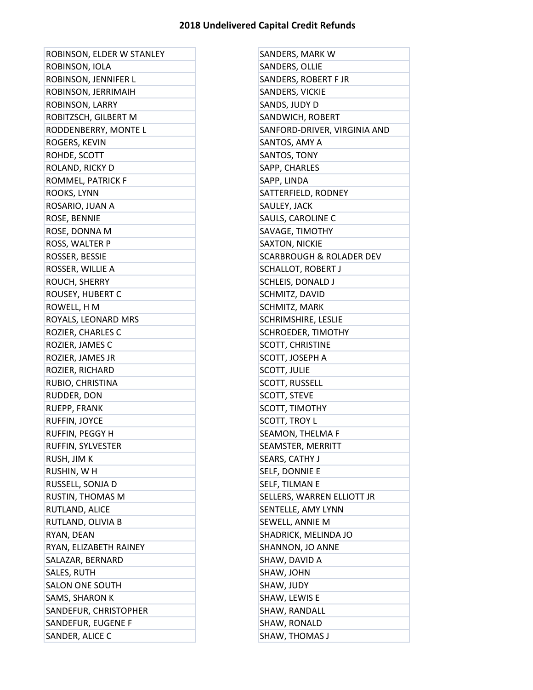| ROBINSON, ELDER W STANLEY | SANDERS, MARK W                     |
|---------------------------|-------------------------------------|
| ROBINSON, IOLA            | SANDERS, OLLIE                      |
| ROBINSON, JENNIFER L      | SANDERS, ROBERT F JR                |
| ROBINSON, JERRIMAIH       | SANDERS, VICKIE                     |
| ROBINSON, LARRY           | SANDS, JUDY D                       |
| ROBITZSCH, GILBERT M      | SANDWICH, ROBERT                    |
| RODDENBERRY, MONTE L      | SANFORD-DRIVER, VIRGINIA AND        |
| ROGERS, KEVIN             | SANTOS, AMY A                       |
| ROHDE, SCOTT              | SANTOS, TONY                        |
| ROLAND, RICKY D           | SAPP, CHARLES                       |
| ROMMEL, PATRICK F         | SAPP, LINDA                         |
| ROOKS, LYNN               | SATTERFIELD, RODNEY                 |
| ROSARIO, JUAN A           | SAULEY, JACK                        |
| ROSE, BENNIE              | SAULS, CAROLINE C                   |
| ROSE, DONNA M             | SAVAGE, TIMOTHY                     |
| ROSS, WALTER P            | SAXTON, NICKIE                      |
| ROSSER, BESSIE            | <b>SCARBROUGH &amp; ROLADER DEV</b> |
| ROSSER, WILLIE A          | <b>SCHALLOT, ROBERT J</b>           |
| ROUCH, SHERRY             | <b>SCHLEIS, DONALD J</b>            |
| ROUSEY, HUBERT C          | SCHMITZ, DAVID                      |
| ROWELL, H M               | SCHMITZ, MARK                       |
| ROYALS, LEONARD MRS       | SCHRIMSHIRE, LESLIE                 |
| ROZIER, CHARLES C         | SCHROEDER, TIMOTHY                  |
| ROZIER, JAMES C           | <b>SCOTT, CHRISTINE</b>             |
| ROZIER, JAMES JR          | SCOTT, JOSEPH A                     |
| ROZIER, RICHARD           | <b>SCOTT, JULIE</b>                 |
| RUBIO, CHRISTINA          | SCOTT, RUSSELL                      |
| RUDDER, DON               | <b>SCOTT, STEVE</b>                 |
| RUEPP, FRANK              | SCOTT, TIMOTHY                      |
| RUFFIN, JOYCE             | <b>SCOTT, TROY L</b>                |
| RUFFIN, PEGGY H           | SEAMON, THELMA F                    |
| RUFFIN, SYLVESTER         | SEAMSTER, MERRITT                   |
| RUSH, JIM K               | SEARS, CATHY J                      |
| RUSHIN, WH                | SELF, DONNIE E                      |
| RUSSELL, SONJA D          | SELF, TILMAN E                      |
| <b>RUSTIN, THOMAS M</b>   | SELLERS, WARREN ELLIOTT JR          |
| RUTLAND, ALICE            | SENTELLE, AMY LYNN                  |
| RUTLAND, OLIVIA B         | SEWELL, ANNIE M                     |
| RYAN, DEAN                | SHADRICK, MELINDA JO                |
| RYAN, ELIZABETH RAINEY    | SHANNON, JO ANNE                    |
| SALAZAR, BERNARD          | SHAW, DAVID A                       |
| SALES, RUTH               | SHAW, JOHN                          |
| <b>SALON ONE SOUTH</b>    | SHAW, JUDY                          |
| SAMS, SHARON K            | SHAW, LEWIS E                       |
| SANDEFUR, CHRISTOPHER     | SHAW, RANDALL                       |
| SANDEFUR, EUGENE F        | SHAW, RONALD                        |
| SANDER, ALICE C           | SHAW, THOMAS J                      |

| SANDERS, MARK W                     |
|-------------------------------------|
| SANDERS, OLLIE                      |
| SANDERS, ROBERT F JR                |
| SANDERS, VICKIE                     |
| SANDS, JUDY D                       |
| SANDWICH, ROBERT                    |
| SANFORD-DRIVER, VIRGINIA AND        |
| SANTOS, AMY A                       |
| SANTOS, TONY                        |
| SAPP, CHARLES                       |
| SAPP, LINDA                         |
| SATTERFIELD, RODNEY                 |
| SAULEY, JACK                        |
| SAULS, CAROLINE C                   |
| SAVAGE, TIMOTHY                     |
| <b>SAXTON, NICKIE</b>               |
| <b>SCARBROUGH &amp; ROLADER DEV</b> |
| SCHALLOT, ROBERT J                  |
| <b>SCHLEIS, DONALD J</b>            |
| SCHMITZ, DAVID                      |
| SCHMITZ, MARK                       |
| SCHRIMSHIRE, LESLIE                 |
| SCHROEDER, TIMOTHY                  |
| <b>SCOTT, CHRISTINE</b>             |
| SCOTT, JOSEPH A                     |
| SCOTT, JULIE                        |
| <b>SCOTT, RUSSELL</b>               |
| <b>SCOTT, STEVE</b>                 |
| SCOTT, TIMOTHY                      |
| SCOTT, TROY L                       |
| SEAMON, THELMA F                    |
| SEAMSTER, MERRITT                   |
| SEARS, CATHY J                      |
| SELF, DONNIE E                      |
| SELF, TILMAN E                      |
| SELLERS, WARREN ELLIOTT JR          |
| SENTELLE, AMY LYNN                  |
| SEWELL, ANNIE M                     |
| SHADRICK, MELINDA JO                |
| SHANNON, JO ANNE                    |
| SHAW, DAVID A                       |
| SHAW, JOHN                          |
| SHAW, JUDY                          |
| SHAW, LEWIS E                       |
| SHAW, RANDALL                       |
| SHAW, RONALD                        |
| SHAW, THOMAS J                      |
|                                     |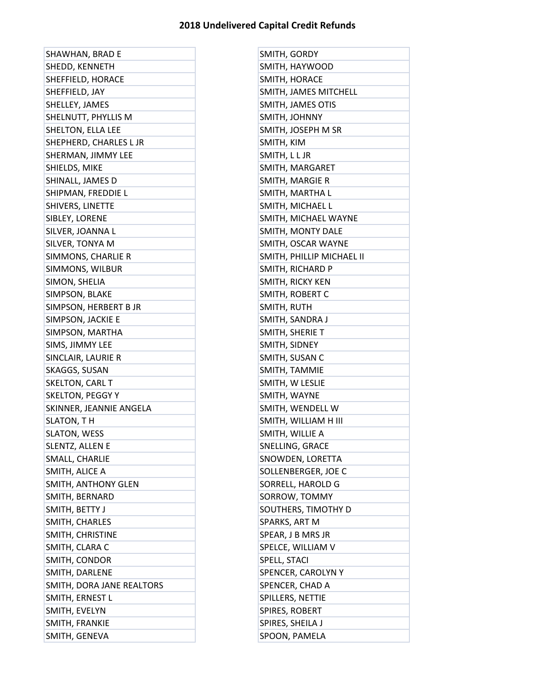| SHAWHAN, BRAD E           | SMITH, GORDY              |
|---------------------------|---------------------------|
| SHEDD, KENNETH            | SMITH, HAYWOOD            |
| SHEFFIELD, HORACE         | SMITH, HORACE             |
| SHEFFIELD, JAY            | SMITH, JAMES MITCHELL     |
| SHELLEY, JAMES            | SMITH, JAMES OTIS         |
| SHELNUTT, PHYLLIS M       | SMITH, JOHNNY             |
| SHELTON, ELLA LEE         | SMITH, JOSEPH M SR        |
| SHEPHERD, CHARLES L JR    | SMITH, KIM                |
| SHERMAN, JIMMY LEE        | SMITH, LL JR              |
| SHIELDS, MIKE             | SMITH, MARGARET           |
| SHINALL, JAMES D          | SMITH, MARGIE R           |
| SHIPMAN, FREDDIE L        | SMITH, MARTHA L           |
| SHIVERS, LINETTE          | SMITH, MICHAEL L          |
| SIBLEY, LORENE            | SMITH, MICHAEL WAYNE      |
| SILVER, JOANNA L          | SMITH, MONTY DALE         |
| SILVER, TONYA M           | SMITH, OSCAR WAYNE        |
| SIMMONS, CHARLIE R        | SMITH, PHILLIP MICHAEL II |
| SIMMONS, WILBUR           | SMITH, RICHARD P          |
| SIMON, SHELIA             | SMITH, RICKY KEN          |
| SIMPSON, BLAKE            | SMITH, ROBERT C           |
| SIMPSON, HERBERT B JR     | SMITH, RUTH               |
| SIMPSON, JACKIE E         | SMITH, SANDRA J           |
| SIMPSON, MARTHA           | SMITH, SHERIE T           |
| SIMS, JIMMY LEE           | SMITH, SIDNEY             |
| SINCLAIR, LAURIE R        | SMITH, SUSAN C            |
| SKAGGS, SUSAN             | SMITH, TAMMIE             |
| SKELTON, CARL T           | SMITH, W LESLIE           |
| <b>SKELTON, PEGGY Y</b>   | SMITH, WAYNE              |
| SKINNER, JEANNIE ANGELA   | SMITH, WENDELL W          |
| SLATON, TH                | SMITH, WILLIAM H III      |
| <b>SLATON, WESS</b>       | SMITH, WILLIE A           |
| SLENTZ, ALLEN E           | <b>SNELLING, GRACE</b>    |
| SMALL, CHARLIE            | SNOWDEN, LORETTA          |
| SMITH, ALICE A            | SOLLENBERGER, JOE C       |
| SMITH, ANTHONY GLEN       | SORRELL, HAROLD G         |
| SMITH, BERNARD            | SORROW, TOMMY             |
| SMITH, BETTY J            | SOUTHERS, TIMOTHY D       |
| SMITH, CHARLES            | SPARKS, ART M             |
| SMITH, CHRISTINE          | SPEAR, J B MRS JR         |
| SMITH, CLARA C            | SPELCE, WILLIAM V         |
| SMITH, CONDOR             | SPELL, STACI              |
| SMITH, DARLENE            | SPENCER, CAROLYN Y        |
| SMITH, DORA JANE REALTORS | SPENCER, CHAD A           |
| SMITH, ERNEST L           | SPILLERS, NETTIE          |
| SMITH, EVELYN             | SPIRES, ROBERT            |
| SMITH, FRANKIE            | SPIRES, SHEILA J          |
| SMITH, GENEVA             | SPOON, PAMELA             |
|                           |                           |

| SMITH, GORDY              |
|---------------------------|
| SMITH, HAYWOOD            |
| SMITH, HORACE             |
| SMITH, JAMES MITCHELL     |
| SMITH, JAMES OTIS         |
| SMITH, JOHNNY             |
| SMITH, JOSEPH M SR        |
| SMITH, KIM                |
| SMITH, LL JR              |
| SMITH, MARGARET           |
| SMITH, MARGIE R           |
| SMITH, MARTHA L           |
| SMITH, MICHAEL L          |
| SMITH, MICHAEL WAYNE      |
| SMITH, MONTY DALE         |
| SMITH, OSCAR WAYNE        |
| SMITH, PHILLIP MICHAEL II |
| SMITH, RICHARD P          |
| SMITH, RICKY KEN          |
| SMITH, ROBERT C           |
| SMITH, RUTH               |
| SMITH, SANDRA J           |
| SMITH, SHERIE T           |
| SMITH, SIDNEY             |
| SMITH, SUSAN C            |
| SMITH, TAMMIE             |
| SMITH, W LESLIE           |
| SMITH, WAYNE              |
| SMITH, WENDELL W          |
| SMITH, WILLIAM H III      |
| SMITH, WILLIE A           |
| SNELLING, GRACE           |
| SNOWDEN, LORETTA          |
| SOLLENBERGER, JOE C       |
| SORRELL, HAROLD G         |
| SORROW, TOMMY             |
| SOUTHERS, TIMOTHY D       |
| SPARKS, ART M             |
| SPEAR, J B MRS JR         |
| SPELCE, WILLIAM V         |
| SPELL, STACI              |
| SPENCER, CAROLYN Y        |
| SPENCER, CHAD A           |
| SPILLERS, NETTIE          |
| SPIRES, ROBERT            |
| SPIRES, SHEILA J          |
| SPOON, PAMELA             |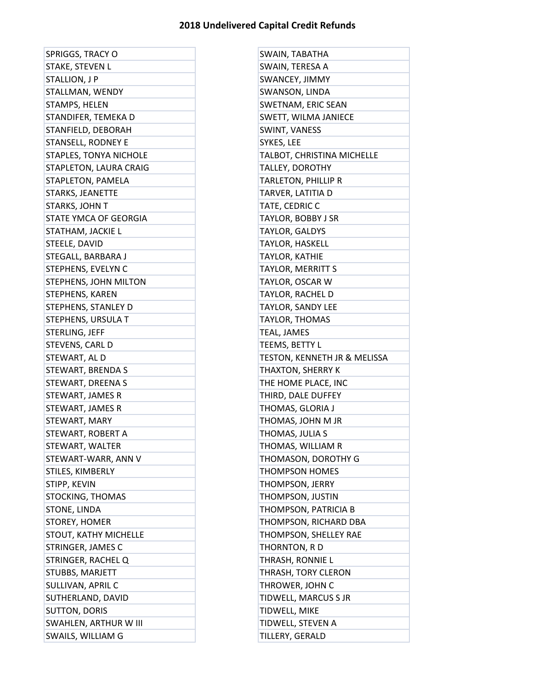| <b>SPRIGGS, TRACY O</b>       | SWAIN, TABATHA               |
|-------------------------------|------------------------------|
| STAKE, STEVEN L               | SWAIN, TERESA A              |
| STALLION, J P                 | SWANCEY, JIMMY               |
| STALLMAN, WENDY               | SWANSON, LINDA               |
| STAMPS, HELEN                 | SWETNAM, ERIC SEAN           |
| STANDIFER, TEMEKA D           | SWETT, WILMA JANIECE         |
| STANFIELD, DEBORAH            | SWINT, VANESS                |
| STANSELL, RODNEY E            | SYKES, LEE                   |
| <b>STAPLES, TONYA NICHOLE</b> | TALBOT, CHRISTINA MICHELLE   |
| STAPLETON, LAURA CRAIG        | <b>TALLEY, DOROTHY</b>       |
| STAPLETON, PAMELA             | <b>TARLETON, PHILLIP R</b>   |
| STARKS, JEANETTE              | TARVER, LATITIA D            |
| STARKS, JOHN T                | TATE, CEDRIC C               |
| STATE YMCA OF GEORGIA         | TAYLOR, BOBBY J SR           |
| STATHAM, JACKIE L             | <b>TAYLOR, GALDYS</b>        |
| STEELE, DAVID                 | TAYLOR, HASKELL              |
| STEGALL, BARBARA J            | <b>TAYLOR, KATHIE</b>        |
| STEPHENS, EVELYN C            | TAYLOR, MERRITT S            |
| STEPHENS, JOHN MILTON         | <b>TAYLOR, OSCAR W</b>       |
| STEPHENS, KAREN               | TAYLOR, RACHEL D             |
| STEPHENS, STANLEY D           | <b>TAYLOR, SANDY LEE</b>     |
| STEPHENS, URSULA T            | TAYLOR, THOMAS               |
| STERLING, JEFF                | TEAL, JAMES                  |
| STEVENS, CARL D               | TEEMS, BETTY L               |
| STEWART, AL D                 | TESTON, KENNETH JR & MELISSA |
| STEWART, BRENDA S             | THAXTON, SHERRY K            |
| STEWART, DREENA S             | THE HOME PLACE, INC          |
| <b>STEWART, JAMES R</b>       | THIRD, DALE DUFFEY           |
| STEWART, JAMES R              | THOMAS, GLORIA J             |
| STEWART, MARY                 | THOMAS, JOHN M JR            |
| STEWART, ROBERT A             | THOMAS, JULIA S              |
| STEWART, WALTER               | THOMAS, WILLIAM R            |
| STEWART-WARR, ANN V           | THOMASON, DOROTHY G          |
| STILES, KIMBERLY              | <b>THOMPSON HOMES</b>        |
| STIPP, KEVIN                  | <b>THOMPSON, JERRY</b>       |
| STOCKING, THOMAS              | THOMPSON, JUSTIN             |
| STONE, LINDA                  | THOMPSON, PATRICIA B         |
| STOREY, HOMER                 | THOMPSON, RICHARD DBA        |
| STOUT, KATHY MICHELLE         | THOMPSON, SHELLEY RAE        |
| STRINGER, JAMES C             | THORNTON, RD                 |
| STRINGER, RACHEL Q            | THRASH, RONNIE L             |
| STUBBS, MARJETT               | THRASH, TORY CLERON          |
| SULLIVAN, APRIL C             | THROWER, JOHN C              |
| SUTHERLAND, DAVID             | TIDWELL, MARCUS S JR         |
| <b>SUTTON, DORIS</b>          | <b>TIDWELL, MIKE</b>         |
| SWAHLEN, ARTHUR W III         | TIDWELL, STEVEN A            |
| SWAILS, WILLIAM G             | TILLERY, GERALD              |

| SWAIN, TABATHA               |
|------------------------------|
| SWAIN, TERESA A              |
| SWANCEY, JIMMY               |
| SWANSON, LINDA               |
| <b>SWETNAM, ERIC SEAN</b>    |
| SWETT, WILMA JANIECE         |
| SWINT, VANESS                |
| SYKES, LEE                   |
| TALBOT, CHRISTINA MICHELLE   |
| TALLEY, DOROTHY              |
| <b>TARLETON, PHILLIP R</b>   |
| TARVER, LATITIA D            |
| TATE, CEDRIC C               |
| TAYLOR, BOBBY J SR           |
| TAYLOR, GALDYS               |
| TAYLOR, HASKELL              |
| TAYLOR, KATHIE               |
| <b>TAYLOR, MERRITT S</b>     |
| TAYLOR, OSCAR W              |
| <b>TAYLOR, RACHEL D</b>      |
| <b>TAYLOR, SANDY LEE</b>     |
| TAYLOR, THOMAS               |
| <b>TEAL, JAMES</b>           |
| TEEMS, BETTY L               |
| TESTON, KENNETH JR & MELISSA |
| THAXTON, SHERRY K            |
| THE HOME PLACE, INC          |
| THIRD, DALE DUFFEY           |
| THOMAS, GLORIA J             |
| THOMAS, JOHN M JR            |
| THOMAS, JULIA S              |
| THOMAS, WILLIAM R            |
| THOMASON, DOROTHY G          |
| <b>THOMPSON HOMES</b>        |
| THOMPSON, JERRY              |
| THOMPSON, JUSTIN             |
| THOMPSON, PATRICIA B         |
| THOMPSON, RICHARD DBA        |
| THOMPSON, SHELLEY RAE        |
| THORNTON, RD                 |
| THRASH, RONNIE L             |
| THRASH, TORY CLERON          |
| THROWER, JOHN C              |
|                              |
| TIDWELL, MARCUS S JR         |
| TIDWELL, MIKE                |
| TIDWELL, STEVEN A            |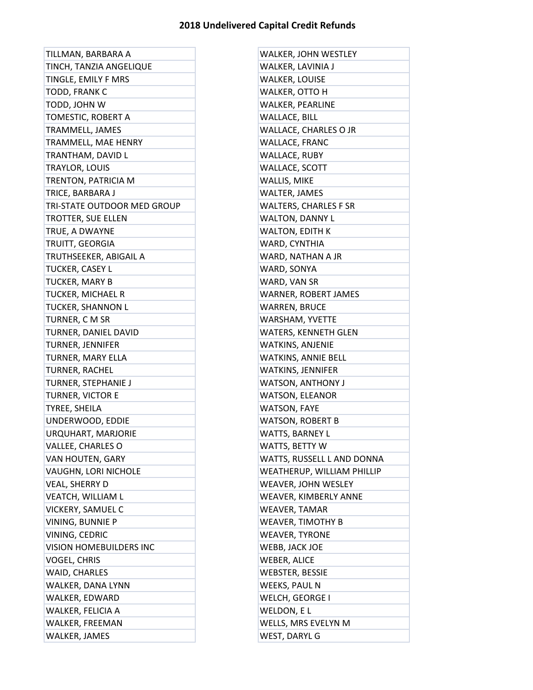| TILLMAN, BARBARA A          | WALKER, JOHN WESTLEY         |
|-----------------------------|------------------------------|
| TINCH, TANZIA ANGELIQUE     | WALKER, LAVINIA J            |
| TINGLE, EMILY F MRS         | <b>WALKER, LOUISE</b>        |
| <b>TODD, FRANK C</b>        | WALKER, OTTO H               |
| TODD, JOHN W                | <b>WALKER, PEARLINE</b>      |
| TOMESTIC, ROBERT A          | WALLACE, BILL                |
| TRAMMELL, JAMES             | WALLACE, CHARLES O JR        |
| TRAMMELL, MAE HENRY         | WALLACE, FRANC               |
| TRANTHAM, DAVID L           | <b>WALLACE, RUBY</b>         |
| TRAYLOR, LOUIS              | <b>WALLACE, SCOTT</b>        |
| TRENTON, PATRICIA M         | <b>WALLIS, MIKE</b>          |
| TRICE, BARBARA J            | WALTER, JAMES                |
| TRI-STATE OUTDOOR MED GROUP | <b>WALTERS, CHARLES F SR</b> |
| <b>TROTTER, SUE ELLEN</b>   | WALTON, DANNY L              |
| TRUE, A DWAYNE              | <b>WALTON, EDITH K</b>       |
| TRUITT, GEORGIA             | WARD, CYNTHIA                |
| TRUTHSEEKER, ABIGAIL A      | WARD, NATHAN A JR            |
| <b>TUCKER, CASEY L</b>      | WARD, SONYA                  |
| <b>TUCKER, MARY B</b>       | WARD, VAN SR                 |
| <b>TUCKER, MICHAEL R</b>    | WARNER, ROBERT JAMES         |
| <b>TUCKER, SHANNON L</b>    | <b>WARREN, BRUCE</b>         |
| TURNER, C M SR              | WARSHAM, YVETTE              |
| TURNER, DANIEL DAVID        | <b>WATERS, KENNETH GLEN</b>  |
| <b>TURNER, JENNIFER</b>     | <b>WATKINS, ANJENIE</b>      |
| TURNER, MARY ELLA           | <b>WATKINS, ANNIE BELL</b>   |
| TURNER, RACHEL              | WATKINS, JENNIFER            |
| <b>TURNER, STEPHANIE J</b>  | WATSON, ANTHONY J            |
| <b>TURNER, VICTOR E</b>     | <b>WATSON, ELEANOR</b>       |
| <b>TYREE, SHEILA</b>        | <b>WATSON, FAYE</b>          |
| UNDERWOOD, EDDIE            | <b>WATSON, ROBERT B</b>      |
| URQUHART, MARJORIE          | WATTS, BARNEY L              |
| VALLEE, CHARLES O           | WATTS, BETTY W               |
| VAN HOUTEN, GARY            | WATTS, RUSSELL L AND DONNA   |
| VAUGHN, LORI NICHOLE        | WEATHERUP, WILLIAM PHILLIP   |
| <b>VEAL, SHERRY D</b>       | WEAVER, JOHN WESLEY          |
| VEATCH, WILLIAM L           | WEAVER, KIMBERLY ANNE        |
| VICKERY, SAMUEL C           | WEAVER, TAMAR                |
| VINING, BUNNIE P            | <b>WEAVER, TIMOTHY B</b>     |
| VINING, CEDRIC              | <b>WEAVER, TYRONE</b>        |
| VISION HOMEBUILDERS INC     | WEBB, JACK JOE               |
| VOGEL, CHRIS                | <b>WEBER, ALICE</b>          |
| WAID, CHARLES               | <b>WEBSTER, BESSIE</b>       |
| WALKER, DANA LYNN           | <b>WEEKS, PAUL N</b>         |
| WALKER, EDWARD              | WELCH, GEORGE I              |
| WALKER, FELICIA A           | WELDON, EL                   |
| <b>WALKER, FREEMAN</b>      | WELLS, MRS EVELYN M          |
| WALKER, JAMES               | WEST, DARYL G                |

| WALKER, JOHN WESTLEY         |
|------------------------------|
| WALKER, LAVINIA J            |
| <b>WALKER, LOUISE</b>        |
| WALKER, OTTO H               |
| <b>WALKER, PEARLINE</b>      |
| <b>WALLACE, BILL</b>         |
| WALLACE, CHARLES O JR        |
| WALLACE, FRANC               |
| <b>WALLACE, RUBY</b>         |
| WALLACE, SCOTT               |
| WALLIS, MIKE                 |
| WALTER, JAMES                |
| <b>WALTERS, CHARLES F SR</b> |
| WALTON, DANNY L              |
| <b>WALTON, EDITH K</b>       |
| WARD, CYNTHIA                |
| WARD, NATHAN A JR            |
| WARD, SONYA                  |
| WARD, VAN SR                 |
| WARNER, ROBERT JAMES         |
| <b>WARREN, BRUCE</b>         |
| WARSHAM, YVETTE              |
| <b>WATERS, KENNETH GLEN</b>  |
| <b>WATKINS, ANJENIE</b>      |
| WATKINS, ANNIE BELL          |
| WATKINS, JENNIFER            |
| <b>WATSON, ANTHONY J</b>     |
| <b>WATSON, ELEANOR</b>       |
| <b>WATSON, FAYE</b>          |
| <b>WATSON, ROBERT B</b>      |
| WATTS, BARNEY L              |
| WATTS, BETTY W               |
| WATTS, RUSSELL L AND DONNA   |
| WEATHERUP, WILLIAM PHILLIP   |
| WEAVER, JOHN WESLEY          |
| WEAVER, KIMBERLY ANNE        |
| WEAVER, TAMAR                |
| WEAVER, TIMOTHY B            |
| <b>WEAVER, TYRONE</b>        |
| WEBB, JACK JOE               |
| <b>WEBER, ALICE</b>          |
| <b>WEBSTER, BESSIE</b>       |
| WEEKS, PAUL N                |
| WELCH, GEORGE I              |
| WELDON, EL                   |
| WELLS, MRS EVELYN M          |
| WEST, DARYL G                |

L,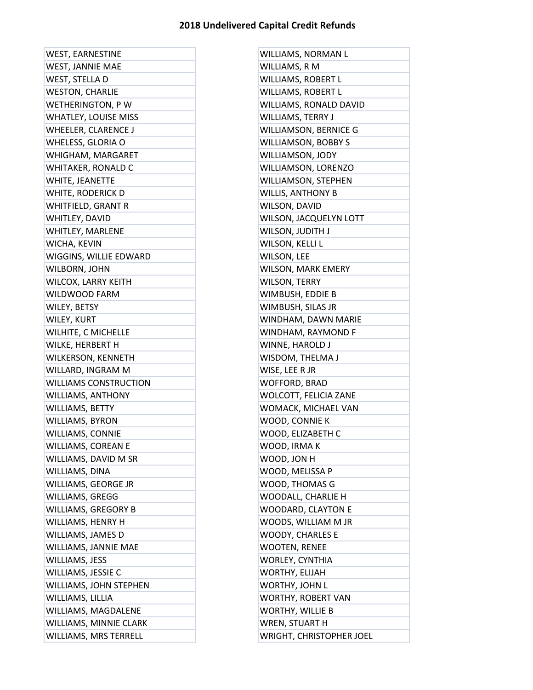÷.

| <b>WEST, EARNESTINE</b>      | WILLIAMS, NORMAN L              |
|------------------------------|---------------------------------|
| <b>WEST, JANNIE MAE</b>      | WILLIAMS, R M                   |
| <b>WEST, STELLA D</b>        | WILLIAMS, ROBERT L              |
| <b>WESTON, CHARLIE</b>       | WILLIAMS, ROBERT L              |
| WETHERINGTON, P W            | WILLIAMS, RONALD DAVID          |
| <b>WHATLEY, LOUISE MISS</b>  | WILLIAMS, TERRY J               |
| WHEELER, CLARENCE J          | WILLIAMSON, BERNICE G           |
| WHELESS, GLORIA O            | WILLIAMSON, BOBBY S             |
| WHIGHAM, MARGARET            | WILLIAMSON, JODY                |
| <b>WHITAKER, RONALD C</b>    | WILLIAMSON, LORENZO             |
| WHITE, JEANETTE              | WILLIAMSON, STEPHEN             |
| <b>WHITE, RODERICK D</b>     | <b>WILLIS, ANTHONY B</b>        |
| <b>WHITFIELD, GRANT R</b>    | WILSON, DAVID                   |
| WHITLEY, DAVID               | WILSON, JACQUELYN LOTT          |
| WHITLEY, MARLENE             | WILSON, JUDITH J                |
| WICHA, KEVIN                 | WILSON, KELLI L                 |
| WIGGINS, WILLIE EDWARD       | WILSON, LEE                     |
| WILBORN, JOHN                | WILSON, MARK EMERY              |
| <b>WILCOX, LARRY KEITH</b>   | <b>WILSON, TERRY</b>            |
| <b>WILDWOOD FARM</b>         | WIMBUSH, EDDIE B                |
| WILEY, BETSY                 | WIMBUSH, SILAS JR               |
| WILEY, KURT                  | WINDHAM, DAWN MARIE             |
| WILHITE, C MICHELLE          | WINDHAM, RAYMOND F              |
| WILKE, HERBERT H             | WINNE, HAROLD J                 |
| WILKERSON, KENNETH           | WISDOM, THELMA J                |
| WILLARD, INGRAM M            | WISE, LEE R JR                  |
| <b>WILLIAMS CONSTRUCTION</b> | <b>WOFFORD, BRAD</b>            |
| <b>WILLIAMS, ANTHONY</b>     | WOLCOTT, FELICIA ZANE           |
| WILLIAMS, BETTY              | WOMACK, MICHAEL VAN             |
| <b>WILLIAMS, BYRON</b>       | WOOD, CONNIE K                  |
| WILLIAMS, CONNIE             | WOOD, ELIZABETH C               |
| <b>WILLIAMS, COREAN E</b>    | WOOD, IRMA K                    |
| WILLIAMS, DAVID M SR         | WOOD, JON H                     |
| WILLIAMS, DINA               | WOOD, MELISSA P                 |
| WILLIAMS, GEORGE JR          | WOOD, THOMAS G                  |
| <b>WILLIAMS, GREGG</b>       | WOODALL, CHARLIE H              |
| <b>WILLIAMS, GREGORY B</b>   | <b>WOODARD, CLAYTON E</b>       |
| WILLIAMS, HENRY H            | WOODS, WILLIAM M JR             |
| WILLIAMS, JAMES D            | <b>WOODY, CHARLES E</b>         |
| WILLIAMS, JANNIE MAE         | <b>WOOTEN, RENEE</b>            |
| WILLIAMS, JESS               | <b>WORLEY, CYNTHIA</b>          |
| WILLIAMS, JESSIE C           | WORTHY, ELIJAH                  |
| WILLIAMS, JOHN STEPHEN       | WORTHY, JOHN L                  |
| WILLIAMS, LILLIA             | WORTHY, ROBERT VAN              |
| WILLIAMS, MAGDALENE          | <b>WORTHY, WILLIE B</b>         |
| WILLIAMS, MINNIE CLARK       | WREN, STUART H                  |
| WILLIAMS, MRS TERRELL        | <b>WRIGHT, CHRISTOPHER JOEL</b> |

| WILLIAMS, NORMAN L              |
|---------------------------------|
| WILLIAMS, R M                   |
| WILLIAMS, ROBERT L              |
| WILLIAMS, ROBERT L              |
| <b>WILLIAMS, RONALD DAVID</b>   |
| WILLIAMS, TERRY J               |
| WILLIAMSON, BERNICE G           |
| WILLIAMSON, BOBBY S             |
| WILLIAMSON, JODY                |
| WILLIAMSON, LORENZO             |
| WILLIAMSON, STEPHEN             |
| <b>WILLIS, ANTHONY B</b>        |
| WILSON, DAVID                   |
| WILSON, JACQUELYN LOTT          |
| WILSON, JUDITH J                |
| WILSON, KELLI L                 |
| WILSON, LEE                     |
| WILSON, MARK EMERY              |
| <b>WILSON, TERRY</b>            |
| WIMBUSH, EDDIE B                |
| WIMBUSH, SILAS JR               |
| WINDHAM, DAWN MARIE             |
| WINDHAM, RAYMOND F              |
| WINNE, HAROLD J                 |
| WISDOM, THELMA J                |
| WISE, LEE R JR                  |
| <b>WOFFORD, BRAD</b>            |
| WOLCOTT, FELICIA ZANE           |
| WOMACK, MICHAEL VAN             |
| WOOD, CONNIE K                  |
| WOOD, ELIZABETH C               |
| WOOD, IRMA K                    |
| WOOD, JON H                     |
| WOOD, MELISSA P                 |
| WOOD, THOMAS G                  |
| WOODALL, CHARLIE H              |
| WOODARD, CLAYTON E              |
| WOODS, WILLIAM M JR             |
| WOODY, CHARLES E                |
| <b>WOOTEN, RENEE</b>            |
| <b>WORLEY, CYNTHIA</b>          |
| WORTHY, ELIJAH                  |
| WORTHY, JOHN L                  |
| WORTHY, ROBERT VAN              |
| WORTHY, WILLIE B                |
| WREN, STUART H                  |
| <b>WRIGHT, CHRISTOPHER JOEL</b> |
|                                 |